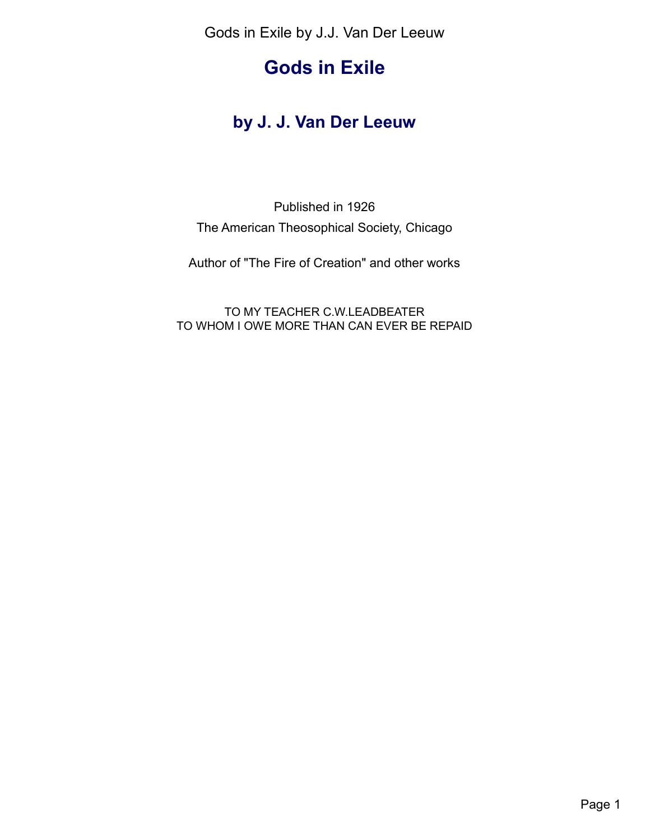# **Gods in Exile**

## **by J. J. Van Der Leeuw**

## Published in 1926 The American Theosophical Society, Chicago

Author of "The Fire of Creation" and other works

TO MY TEACHER C.W.LEADBEATER TO WHOM I OWE MORE THAN CAN EVER BE REPAID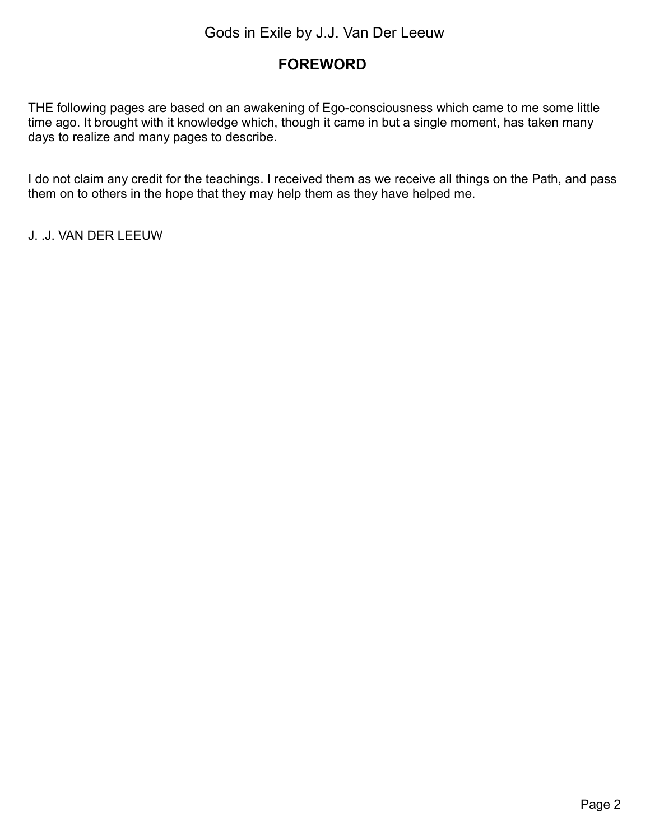## <span id="page-1-0"></span>**FOREWORD**

THE following pages are based on an awakening of Ego-consciousness which came to me some little time ago. It brought with it knowledge which, though it came in but a single moment, has taken many days to realize and many pages to describe.

I do not claim any credit for the teachings. I received them as we receive all things on the Path, and pass them on to others in the hope that they may help them as they have helped me.

J. .J. VAN DER LEEUW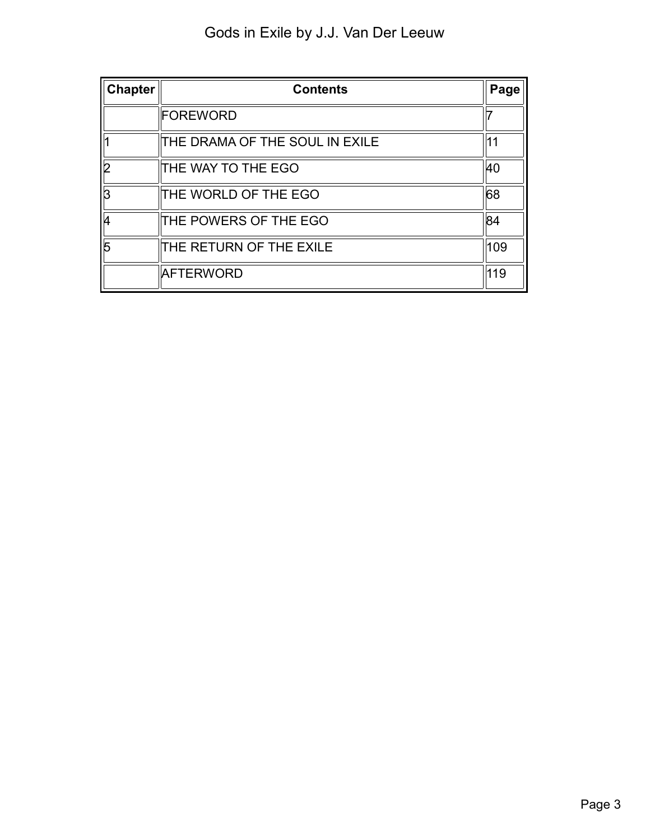| <b>Chapter</b> | <b>Contents</b>                | Page |
|----------------|--------------------------------|------|
|                | FOREWORD                       |      |
|                | THE DRAMA OF THE SOUL IN EXILE |      |
|                | THE WAY TO THE EGO             | 40   |
| B              | THE WORLD OF THE EGO           | 68   |
|                | THE POWERS OF THE EGO          | 84   |
| 5              | THE RETURN OF THE EXILE        | 109  |
|                | <b>AFTERWORD</b>               | 119  |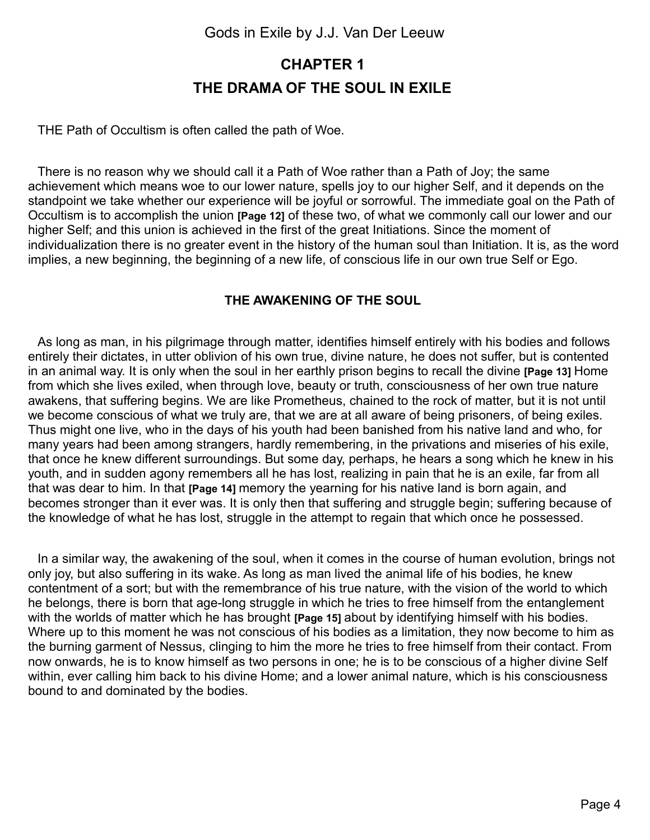## <span id="page-3-0"></span>**CHAPTER 1 THE DRAMA OF THE SOUL IN EXILE**

THE Path of Occultism is often called the path of Woe.

There is no reason why we should call it a Path of Woe rather than a Path of Joy; the same achievement which means woe to our lower nature, spells joy to our higher Self, and it depends on the standpoint we take whether our experience will be joyful or sorrowful. The immediate goal on the Path of Occultism is to accomplish the union **[Page 12]** of these two, of what we commonly call our lower and our higher Self; and this union is achieved in the first of the great Initiations. Since the moment of individualization there is no greater event in the history of the human soul than Initiation. It is, as the word implies, a new beginning, the beginning of a new life, of conscious life in our own true Self or Ego.

#### **THE AWAKENING OF THE SOUL**

As long as man, in his pilgrimage through matter, identifies himself entirely with his bodies and follows entirely their dictates, in utter oblivion of his own true, divine nature, he does not suffer, but is contented in an animal way. It is only when the soul in her earthly prison begins to recall the divine **[Page 13]** Home from which she lives exiled, when through love, beauty or truth, consciousness of her own true nature awakens, that suffering begins. We are like Prometheus, chained to the rock of matter, but it is not until we become conscious of what we truly are, that we are at all aware of being prisoners, of being exiles. Thus might one live, who in the days of his youth had been banished from his native land and who, for many years had been among strangers, hardly remembering, in the privations and miseries of his exile, that once he knew different surroundings. But some day, perhaps, he hears a song which he knew in his youth, and in sudden agony remembers all he has lost, realizing in pain that he is an exile, far from all that was dear to him. In that **[Page 14]** memory the yearning for his native land is born again, and becomes stronger than it ever was. It is only then that suffering and struggle begin; suffering because of the knowledge of what he has lost, struggle in the attempt to regain that which once he possessed.

In a similar way, the awakening of the soul, when it comes in the course of human evolution, brings not only joy, but also suffering in its wake. As long as man lived the animal life of his bodies, he knew contentment of a sort; but with the remembrance of his true nature, with the vision of the world to which he belongs, there is born that age-long struggle in which he tries to free himself from the entanglement with the worlds of matter which he has brought **[Page 15]** about by identifying himself with his bodies. Where up to this moment he was not conscious of his bodies as a limitation, they now become to him as the burning garment of Nessus, clinging to him the more he tries to free himself from their contact. From now onwards, he is to know himself as two persons in one; he is to be conscious of a higher divine Self within, ever calling him back to his divine Home; and a lower animal nature, which is his consciousness bound to and dominated by the bodies.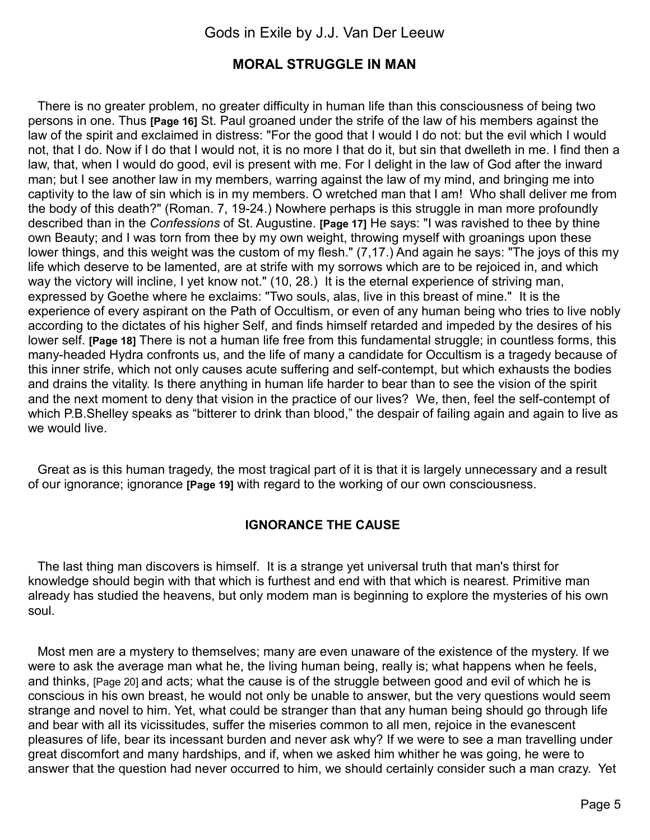### **MORAL STRUGGLE IN MAN**

There is no greater problem, no greater difficulty in human life than this consciousness of being two persons in one. Thus **[Page 16]** St. Paul groaned under the strife of the law of his members against the law of the spirit and exclaimed in distress: "For the good that I would I do not: but the evil which I would not, that I do. Now if I do that I would not, it is no more I that do it, but sin that dwelleth in me. I find then a law, that, when I would do good, evil is present with me. For I delight in the law of God after the inward man; but I see another law in my members, warring against the law of my mind, and bringing me into captivity to the law of sin which is in my members. O wretched man that I am! Who shall deliver me from the body of this death?" (Roman. 7, 19-24.) Nowhere perhaps is this struggle in man more profoundly described than in the *Confessions* of St. Augustine. **[Page 17]** He says: "I was ravished to thee by thine own Beauty; and I was torn from thee by my own weight, throwing myself with groanings upon these lower things, and this weight was the custom of my flesh." (7,17.) And again he says: "The joys of this my life which deserve to be lamented, are at strife with my sorrows which are to be rejoiced in, and which way the victory will incline, I yet know not." (10, 28.) It is the eternal experience of striving man, expressed by Goethe where he exclaims: "Two souls, alas, live in this breast of mine." It is the experience of every aspirant on the Path of Occultism, or even of any human being who tries to live nobly according to the dictates of his higher Self, and finds himself retarded and impeded by the desires of his lower self. **[Page 18]** There is not a human life free from this fundamental struggle; in countless forms, this many-headed Hydra confronts us, and the life of many a candidate for Occultism is a tragedy because of this inner strife, which not only causes acute suffering and self-contempt, but which exhausts the bodies and drains the vitality. Is there anything in human life harder to bear than to see the vision of the spirit and the next moment to deny that vision in the practice of our lives? We, then, feel the self-contempt of which P.B. Shelley speaks as "bitterer to drink than blood," the despair of failing again and again to live as we would live.

Great as is this human tragedy, the most tragical part of it is that it is largely unnecessary and a result of our ignorance; ignorance **[Page 19]** with regard to the working of our own consciousness.

### **IGNORANCE THE CAUSE**

The last thing man discovers is himself. It is a strange yet universal truth that man's thirst for knowledge should begin with that which is furthest and end with that which is nearest. Primitive man already has studied the heavens, but only modem man is beginning to explore the mysteries of his own soul.

Most men are a mystery to themselves; many are even unaware of the existence of the mystery. If we were to ask the average man what he, the living human being, really is; what happens when he feels, and thinks, [Page 20] and acts; what the cause is of the struggle between good and evil of which he is conscious in his own breast, he would not only be unable to answer, but the very questions would seem strange and novel to him. Yet, what could be stranger than that any human being should go through life and bear with all its vicissitudes, suffer the miseries common to all men, rejoice in the evanescent pleasures of life, bear its incessant burden and never ask why? If we were to see a man travelling under great discomfort and many hardships, and if, when we asked him whither he was going, he were to answer that the question had never occurred to him, we should certainly consider such a man crazy. Yet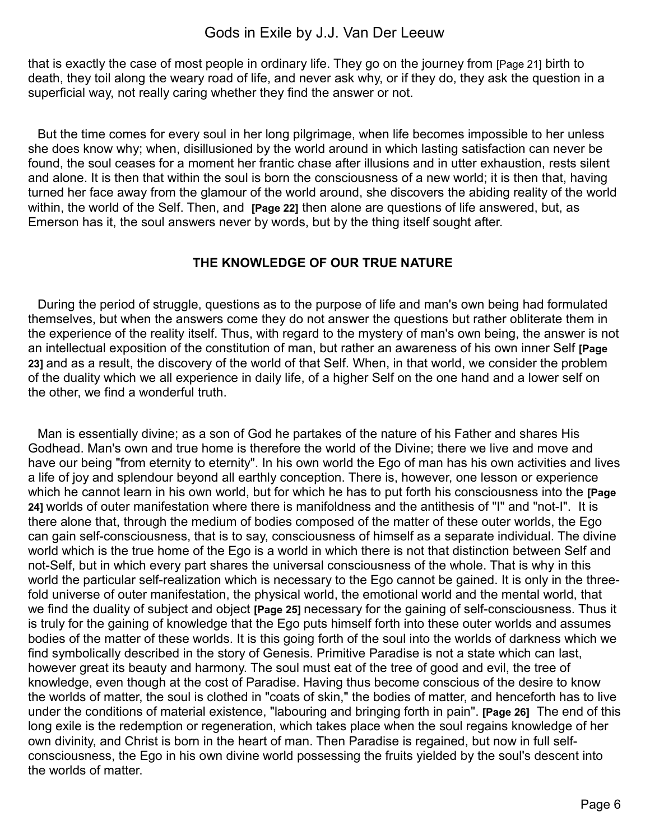that is exactly the case of most people in ordinary life. They go on the journey from [Page 21] birth to death, they toil along the weary road of life, and never ask why, or if they do, they ask the question in a superficial way, not really caring whether they find the answer or not.

But the time comes for every soul in her long pilgrimage, when life becomes impossible to her unless she does know why; when, disillusioned by the world around in which lasting satisfaction can never be found, the soul ceases for a moment her frantic chase after illusions and in utter exhaustion, rests silent and alone. It is then that within the soul is born the consciousness of a new world; it is then that, having turned her face away from the glamour of the world around, she discovers the abiding reality of the world within, the world of the Self. Then, and **[Page 22]** then alone are questions of life answered, but, as Emerson has it, the soul answers never by words, but by the thing itself sought after.

#### **THE KNOWLEDGE OF OUR TRUE NATURE**

During the period of struggle, questions as to the purpose of life and man's own being had formulated themselves, but when the answers come they do not answer the questions but rather obliterate them in the experience of the reality itself. Thus, with regard to the mystery of man's own being, the answer is not an intellectual exposition of the constitution of man, but rather an awareness of his own inner Self **[Page 23]** and as a result, the discovery of the world of that Self. When, in that world, we consider the problem of the duality which we all experience in daily life, of a higher Self on the one hand and a lower self on the other, we find a wonderful truth.

Man is essentially divine; as a son of God he partakes of the nature of his Father and shares His Godhead. Man's own and true home is therefore the world of the Divine; there we live and move and have our being "from eternity to eternity". In his own world the Ego of man has his own activities and lives a life of joy and splendour beyond all earthly conception. There is, however, one lesson or experience which he cannot learn in his own world, but for which he has to put forth his consciousness into the **[Page 24]** worlds of outer manifestation where there is manifoldness and the antithesis of "I" and "not-I". It is there alone that, through the medium of bodies composed of the matter of these outer worlds, the Ego can gain self-consciousness, that is to say, consciousness of himself as a separate individual. The divine world which is the true home of the Ego is a world in which there is not that distinction between Self and not-Self, but in which every part shares the universal consciousness of the whole. That is why in this world the particular self-realization which is necessary to the Ego cannot be gained. It is only in the threefold universe of outer manifestation, the physical world, the emotional world and the mental world, that we find the duality of subject and object **[Page 25]** necessary for the gaining of self-consciousness. Thus it is truly for the gaining of knowledge that the Ego puts himself forth into these outer worlds and assumes bodies of the matter of these worlds. It is this going forth of the soul into the worlds of darkness which we find symbolically described in the story of Genesis. Primitive Paradise is not a state which can last, however great its beauty and harmony. The soul must eat of the tree of good and evil, the tree of knowledge, even though at the cost of Paradise. Having thus become conscious of the desire to know the worlds of matter, the soul is clothed in "coats of skin," the bodies of matter, and henceforth has to live under the conditions of material existence, "labouring and bringing forth in pain". **[Page 26]** The end of this long exile is the redemption or regeneration, which takes place when the soul regains knowledge of her own divinity, and Christ is born in the heart of man. Then Paradise is regained, but now in full selfconsciousness, the Ego in his own divine world possessing the fruits yielded by the soul's descent into the worlds of matter.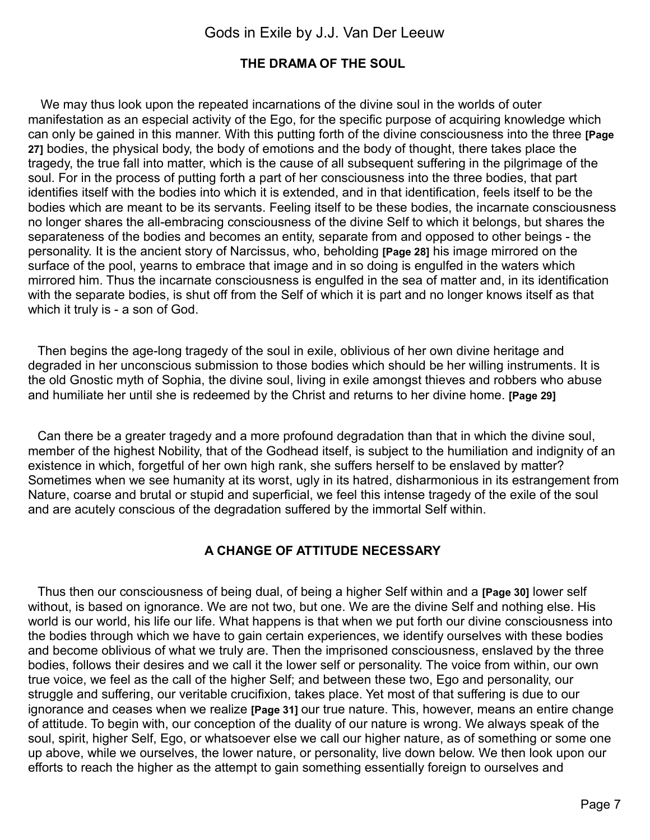### **THE DRAMA OF THE SOUL**

We may thus look upon the repeated incarnations of the divine soul in the worlds of outer manifestation as an especial activity of the Ego, for the specific purpose of acquiring knowledge which can only be gained in this manner. With this putting forth of the divine consciousness into the three **[Page 27]** bodies, the physical body, the body of emotions and the body of thought, there takes place the tragedy, the true fall into matter, which is the cause of all subsequent suffering in the pilgrimage of the soul. For in the process of putting forth a part of her consciousness into the three bodies, that part identifies itself with the bodies into which it is extended, and in that identification, feels itself to be the bodies which are meant to be its servants. Feeling itself to be these bodies, the incarnate consciousness no longer shares the all-embracing consciousness of the divine Self to which it belongs, but shares the separateness of the bodies and becomes an entity, separate from and opposed to other beings - the personality. It is the ancient story of Narcissus, who, beholding **[Page 28]** his image mirrored on the surface of the pool, yearns to embrace that image and in so doing is engulfed in the waters which mirrored him. Thus the incarnate consciousness is engulfed in the sea of matter and, in its identification with the separate bodies, is shut off from the Self of which it is part and no longer knows itself as that which it truly is - a son of God.

Then begins the age-long tragedy of the soul in exile, oblivious of her own divine heritage and degraded in her unconscious submission to those bodies which should be her willing instruments. It is the old Gnostic myth of Sophia, the divine soul, living in exile amongst thieves and robbers who abuse and humiliate her until she is redeemed by the Christ and returns to her divine home. **[Page 29]**

Can there be a greater tragedy and a more profound degradation than that in which the divine soul, member of the highest Nobility, that of the Godhead itself, is subject to the humiliation and indignity of an existence in which, forgetful of her own high rank, she suffers herself to be enslaved by matter? Sometimes when we see humanity at its worst, ugly in its hatred, disharmonious in its estrangement from Nature, coarse and brutal or stupid and superficial, we feel this intense tragedy of the exile of the soul and are acutely conscious of the degradation suffered by the immortal Self within.

### **A CHANGE OF ATTITUDE NECESSARY**

Thus then our consciousness of being dual, of being a higher Self within and a **[Page 30]** lower self without, is based on ignorance. We are not two, but one. We are the divine Self and nothing else. His world is our world, his life our life. What happens is that when we put forth our divine consciousness into the bodies through which we have to gain certain experiences, we identify ourselves with these bodies and become oblivious of what we truly are. Then the imprisoned consciousness, enslaved by the three bodies, follows their desires and we call it the lower self or personality. The voice from within, our own true voice, we feel as the call of the higher Self; and between these two, Ego and personality, our struggle and suffering, our veritable crucifixion, takes place. Yet most of that suffering is due to our ignorance and ceases when we realize **[Page 31]** our true nature. This, however, means an entire change of attitude. To begin with, our conception of the duality of our nature is wrong. We always speak of the soul, spirit, higher Self, Ego, or whatsoever else we call our higher nature, as of something or some one up above, while we ourselves, the lower nature, or personality, live down below. We then look upon our efforts to reach the higher as the attempt to gain something essentially foreign to ourselves and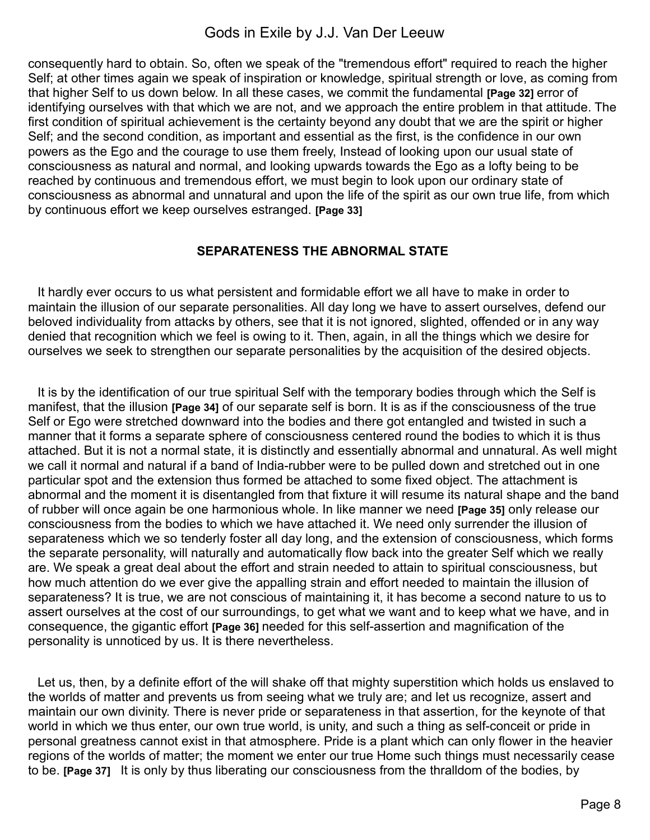consequently hard to obtain. So, often we speak of the "tremendous effort" required to reach the higher Self; at other times again we speak of inspiration or knowledge, spiritual strength or love, as coming from that higher Self to us down below. In all these cases, we commit the fundamental **[Page 32]** error of identifying ourselves with that which we are not, and we approach the entire problem in that attitude. The first condition of spiritual achievement is the certainty beyond any doubt that we are the spirit or higher Self; and the second condition, as important and essential as the first, is the confidence in our own powers as the Ego and the courage to use them freely, Instead of looking upon our usual state of consciousness as natural and normal, and looking upwards towards the Ego as a lofty being to be reached by continuous and tremendous effort, we must begin to look upon our ordinary state of consciousness as abnormal and unnatural and upon the life of the spirit as our own true life, from which by continuous effort we keep ourselves estranged. **[Page 33]**

### **SEPARATENESS THE ABNORMAL STATE**

It hardly ever occurs to us what persistent and formidable effort we all have to make in order to maintain the illusion of our separate personalities. All day long we have to assert ourselves, defend our beloved individuality from attacks by others, see that it is not ignored, slighted, offended or in any way denied that recognition which we feel is owing to it. Then, again, in all the things which we desire for ourselves we seek to strengthen our separate personalities by the acquisition of the desired objects.

It is by the identification of our true spiritual Self with the temporary bodies through which the Self is manifest, that the illusion **[Page 34]** of our separate self is born. It is as if the consciousness of the true Self or Ego were stretched downward into the bodies and there got entangled and twisted in such a manner that it forms a separate sphere of consciousness centered round the bodies to which it is thus attached. But it is not a normal state, it is distinctly and essentially abnormal and unnatural. As well might we call it normal and natural if a band of India-rubber were to be pulled down and stretched out in one particular spot and the extension thus formed be attached to some fixed object. The attachment is abnormal and the moment it is disentangled from that fixture it will resume its natural shape and the band of rubber will once again be one harmonious whole. In like manner we need **[Page 35]** only release our consciousness from the bodies to which we have attached it. We need only surrender the illusion of separateness which we so tenderly foster all day long, and the extension of consciousness, which forms the separate personality, will naturally and automatically flow back into the greater Self which we really are. We speak a great deal about the effort and strain needed to attain to spiritual consciousness, but how much attention do we ever give the appalling strain and effort needed to maintain the illusion of separateness? It is true, we are not conscious of maintaining it, it has become a second nature to us to assert ourselves at the cost of our surroundings, to get what we want and to keep what we have, and in consequence, the gigantic effort **[Page 36]** needed for this self-assertion and magnification of the personality is unnoticed by us. It is there nevertheless.

Let us, then, by a definite effort of the will shake off that mighty superstition which holds us enslaved to the worlds of matter and prevents us from seeing what we truly are; and let us recognize, assert and maintain our own divinity. There is never pride or separateness in that assertion, for the keynote of that world in which we thus enter, our own true world, is unity, and such a thing as self-conceit or pride in personal greatness cannot exist in that atmosphere. Pride is a plant which can only flower in the heavier regions of the worlds of matter; the moment we enter our true Home such things must necessarily cease to be. **[Page 37]** It is only by thus liberating our consciousness from the thralldom of the bodies, by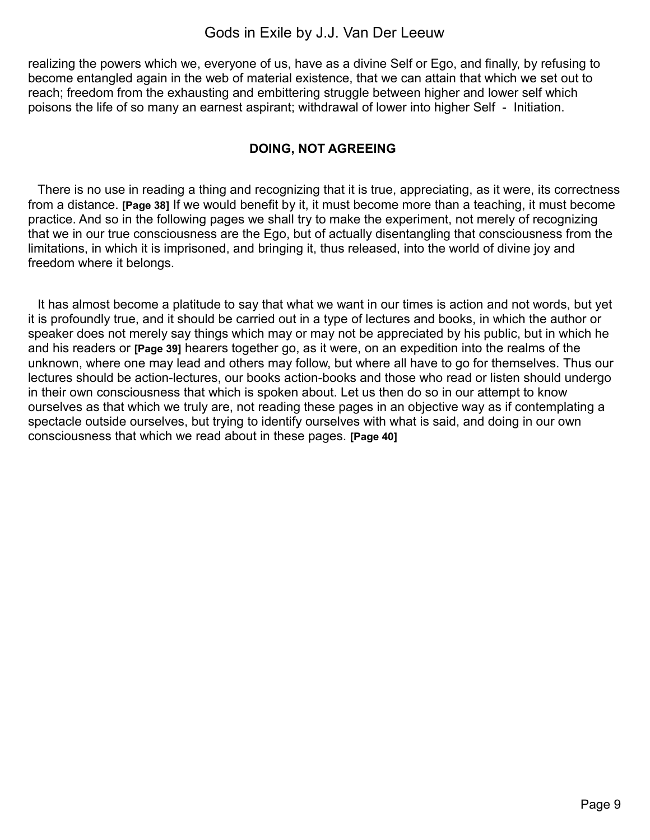realizing the powers which we, everyone of us, have as a divine Self or Ego, and finally, by refusing to become entangled again in the web of material existence, that we can attain that which we set out to reach; freedom from the exhausting and embittering struggle between higher and lower self which poisons the life of so many an earnest aspirant; withdrawal of lower into higher Self - Initiation.

### **DOING, NOT AGREEING**

There is no use in reading a thing and recognizing that it is true, appreciating, as it were, its correctness from a distance. **[Page 38]** If we would benefit by it, it must become more than a teaching, it must become practice. And so in the following pages we shall try to make the experiment, not merely of recognizing that we in our true consciousness are the Ego, but of actually disentangling that consciousness from the limitations, in which it is imprisoned, and bringing it, thus released, into the world of divine joy and freedom where it belongs.

It has almost become a platitude to say that what we want in our times is action and not words, but yet it is profoundly true, and it should be carried out in a type of lectures and books, in which the author or speaker does not merely say things which may or may not be appreciated by his public, but in which he and his readers or **[Page 39]** hearers together go, as it were, on an expedition into the realms of the unknown, where one may lead and others may follow, but where all have to go for themselves. Thus our lectures should be action-lectures, our books action-books and those who read or listen should undergo in their own consciousness that which is spoken about. Let us then do so in our attempt to know ourselves as that which we truly are, not reading these pages in an objective way as if contemplating a spectacle outside ourselves, but trying to identify ourselves with what is said, and doing in our own consciousness that which we read about in these pages. **[Page 40]**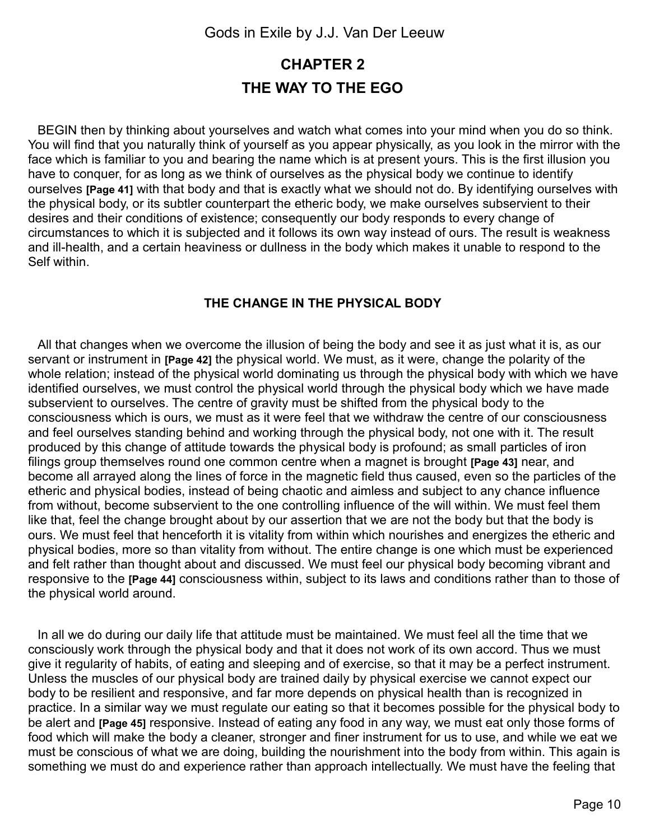## <span id="page-9-0"></span>**CHAPTER 2 THE WAY TO THE EGO**

BEGIN then by thinking about yourselves and watch what comes into your mind when you do so think. You will find that you naturally think of yourself as you appear physically, as you look in the mirror with the face which is familiar to you and bearing the name which is at present yours. This is the first illusion you have to conquer, for as long as we think of ourselves as the physical body we continue to identify ourselves **[Page 41]** with that body and that is exactly what we should not do. By identifying ourselves with the physical body, or its subtler counterpart the etheric body, we make ourselves subservient to their desires and their conditions of existence; consequently our body responds to every change of circumstances to which it is subjected and it follows its own way instead of ours. The result is weakness and ill-health, and a certain heaviness or dullness in the body which makes it unable to respond to the Self within.

#### **THE CHANGE IN THE PHYSICAL BODY**

All that changes when we overcome the illusion of being the body and see it as just what it is, as our servant or instrument in **[Page 42]** the physical world. We must, as it were, change the polarity of the whole relation; instead of the physical world dominating us through the physical body with which we have identified ourselves, we must control the physical world through the physical body which we have made subservient to ourselves. The centre of gravity must be shifted from the physical body to the consciousness which is ours, we must as it were feel that we withdraw the centre of our consciousness and feel ourselves standing behind and working through the physical body, not one with it. The result produced by this change of attitude towards the physical body is profound; as small particles of iron filings group themselves round one common centre when a magnet is brought **[Page 43]** near, and become all arrayed along the lines of force in the magnetic field thus caused, even so the particles of the etheric and physical bodies, instead of being chaotic and aimless and subject to any chance influence from without, become subservient to the one controlling influence of the will within. We must feel them like that, feel the change brought about by our assertion that we are not the body but that the body is ours. We must feel that henceforth it is vitality from within which nourishes and energizes the etheric and physical bodies, more so than vitality from without. The entire change is one which must be experienced and felt rather than thought about and discussed. We must feel our physical body becoming vibrant and responsive to the **[Page 44]** consciousness within, subject to its laws and conditions rather than to those of the physical world around.

In all we do during our daily life that attitude must be maintained. We must feel all the time that we consciously work through the physical body and that it does not work of its own accord. Thus we must give it regularity of habits, of eating and sleeping and of exercise, so that it may be a perfect instrument. Unless the muscles of our physical body are trained daily by physical exercise we cannot expect our body to be resilient and responsive, and far more depends on physical health than is recognized in practice. In a similar way we must regulate our eating so that it becomes possible for the physical body to be alert and **[Page 45]** responsive. Instead of eating any food in any way, we must eat only those forms of food which will make the body a cleaner, stronger and finer instrument for us to use, and while we eat we must be conscious of what we are doing, building the nourishment into the body from within. This again is something we must do and experience rather than approach intellectually. We must have the feeling that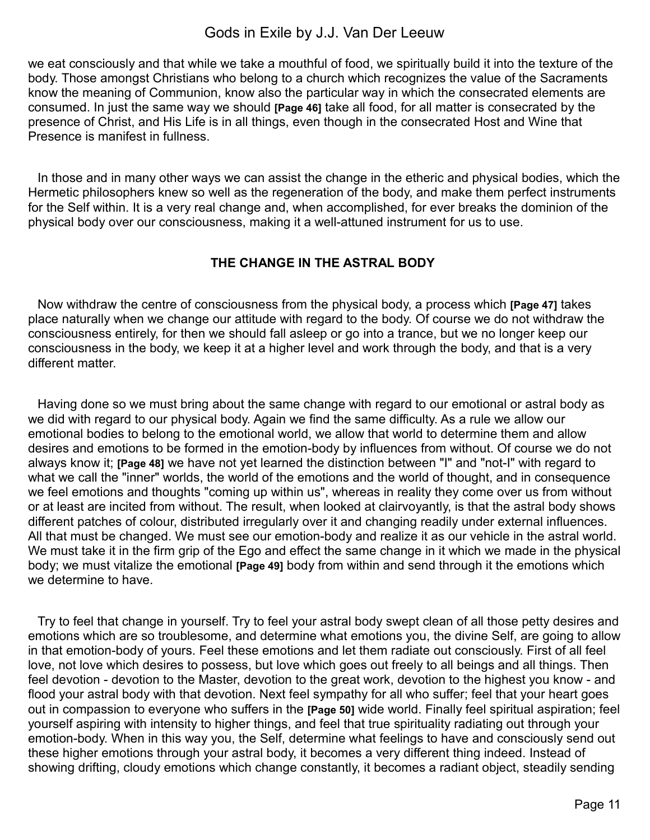we eat consciously and that while we take a mouthful of food, we spiritually build it into the texture of the body. Those amongst Christians who belong to a church which recognizes the value of the Sacraments know the meaning of Communion, know also the particular way in which the consecrated elements are consumed. In just the same way we should **[Page 46]** take all food, for all matter is consecrated by the presence of Christ, and His Life is in all things, even though in the consecrated Host and Wine that Presence is manifest in fullness.

In those and in many other ways we can assist the change in the etheric and physical bodies, which the Hermetic philosophers knew so well as the regeneration of the body, and make them perfect instruments for the Self within. It is a very real change and, when accomplished, for ever breaks the dominion of the physical body over our consciousness, making it a well-attuned instrument for us to use.

### **THE CHANGE IN THE ASTRAL BODY**

Now withdraw the centre of consciousness from the physical body, a process which **[Page 47]** takes place naturally when we change our attitude with regard to the body. Of course we do not withdraw the consciousness entirely, for then we should fall asleep or go into a trance, but we no longer keep our consciousness in the body, we keep it at a higher level and work through the body, and that is a very different matter.

Having done so we must bring about the same change with regard to our emotional or astral body as we did with regard to our physical body. Again we find the same difficulty. As a rule we allow our emotional bodies to belong to the emotional world, we allow that world to determine them and allow desires and emotions to be formed in the emotion-body by influences from without. Of course we do not always know it; **[Page 48]** we have not yet learned the distinction between "I" and "not-I" with regard to what we call the "inner" worlds, the world of the emotions and the world of thought, and in consequence we feel emotions and thoughts "coming up within us", whereas in reality they come over us from without or at least are incited from without. The result, when looked at clairvoyantly, is that the astral body shows different patches of colour, distributed irregularly over it and changing readily under external influences. All that must be changed. We must see our emotion-body and realize it as our vehicle in the astral world. We must take it in the firm grip of the Ego and effect the same change in it which we made in the physical body; we must vitalize the emotional **[Page 49]** body from within and send through it the emotions which we determine to have.

Try to feel that change in yourself. Try to feel your astral body swept clean of all those petty desires and emotions which are so troublesome, and determine what emotions you, the divine Self, are going to allow in that emotion-body of yours. Feel these emotions and let them radiate out consciously. First of all feel love, not love which desires to possess, but love which goes out freely to all beings and all things. Then feel devotion - devotion to the Master, devotion to the great work, devotion to the highest you know - and flood your astral body with that devotion. Next feel sympathy for all who suffer; feel that your heart goes out in compassion to everyone who suffers in the **[Page 50]** wide world. Finally feel spiritual aspiration; feel yourself aspiring with intensity to higher things, and feel that true spirituality radiating out through your emotion-body. When in this way you, the Self, determine what feelings to have and consciously send out these higher emotions through your astral body, it becomes a very different thing indeed. Instead of showing drifting, cloudy emotions which change constantly, it becomes a radiant object, steadily sending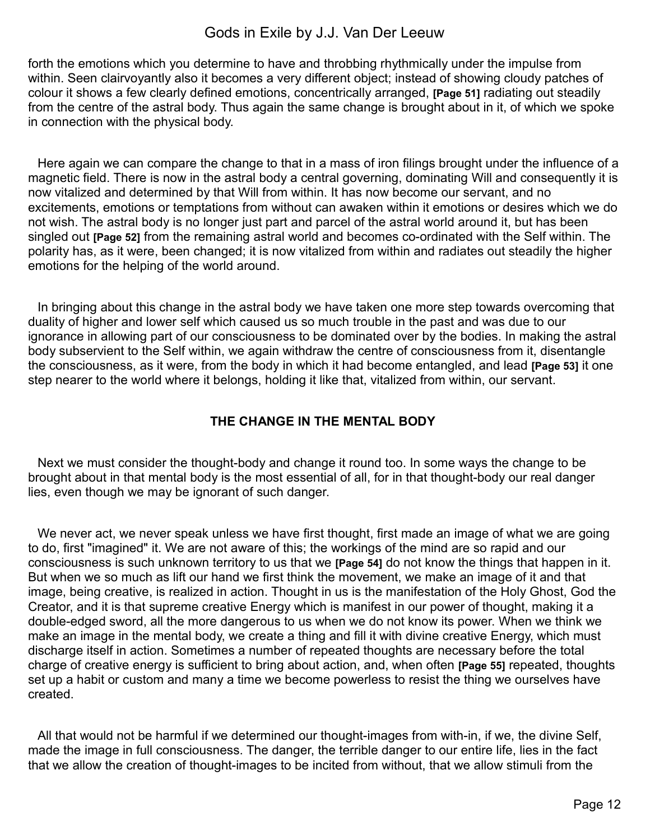forth the emotions which you determine to have and throbbing rhythmically under the impulse from within. Seen clairvoyantly also it becomes a very different object; instead of showing cloudy patches of colour it shows a few clearly defined emotions, concentrically arranged, **[Page 51]** radiating out steadily from the centre of the astral body. Thus again the same change is brought about in it, of which we spoke in connection with the physical body.

Here again we can compare the change to that in a mass of iron filings brought under the influence of a magnetic field. There is now in the astral body a central governing, dominating Will and consequently it is now vitalized and determined by that Will from within. It has now become our servant, and no excitements, emotions or temptations from without can awaken within it emotions or desires which we do not wish. The astral body is no longer just part and parcel of the astral world around it, but has been singled out **[Page 52]** from the remaining astral world and becomes co-ordinated with the Self within. The polarity has, as it were, been changed; it is now vitalized from within and radiates out steadily the higher emotions for the helping of the world around.

In bringing about this change in the astral body we have taken one more step towards overcoming that duality of higher and lower self which caused us so much trouble in the past and was due to our ignorance in allowing part of our consciousness to be dominated over by the bodies. In making the astral body subservient to the Self within, we again withdraw the centre of consciousness from it, disentangle the consciousness, as it were, from the body in which it had become entangled, and lead **[Page 53]** it one step nearer to the world where it belongs, holding it like that, vitalized from within, our servant.

### **THE CHANGE IN THE MENTAL BODY**

Next we must consider the thought-body and change it round too. In some ways the change to be brought about in that mental body is the most essential of all, for in that thought-body our real danger lies, even though we may be ignorant of such danger.

We never act, we never speak unless we have first thought, first made an image of what we are going to do, first "imagined" it. We are not aware of this; the workings of the mind are so rapid and our consciousness is such unknown territory to us that we **[Page 54]** do not know the things that happen in it. But when we so much as lift our hand we first think the movement, we make an image of it and that image, being creative, is realized in action. Thought in us is the manifestation of the Holy Ghost, God the Creator, and it is that supreme creative Energy which is manifest in our power of thought, making it a double-edged sword, all the more dangerous to us when we do not know its power. When we think we make an image in the mental body, we create a thing and fill it with divine creative Energy, which must discharge itself in action. Sometimes a number of repeated thoughts are necessary before the total charge of creative energy is sufficient to bring about action, and, when often **[Page 55]** repeated, thoughts set up a habit or custom and many a time we become powerless to resist the thing we ourselves have created.

All that would not be harmful if we determined our thought-images from with-in, if we, the divine Self, made the image in full consciousness. The danger, the terrible danger to our entire life, lies in the fact that we allow the creation of thought-images to be incited from without, that we allow stimuli from the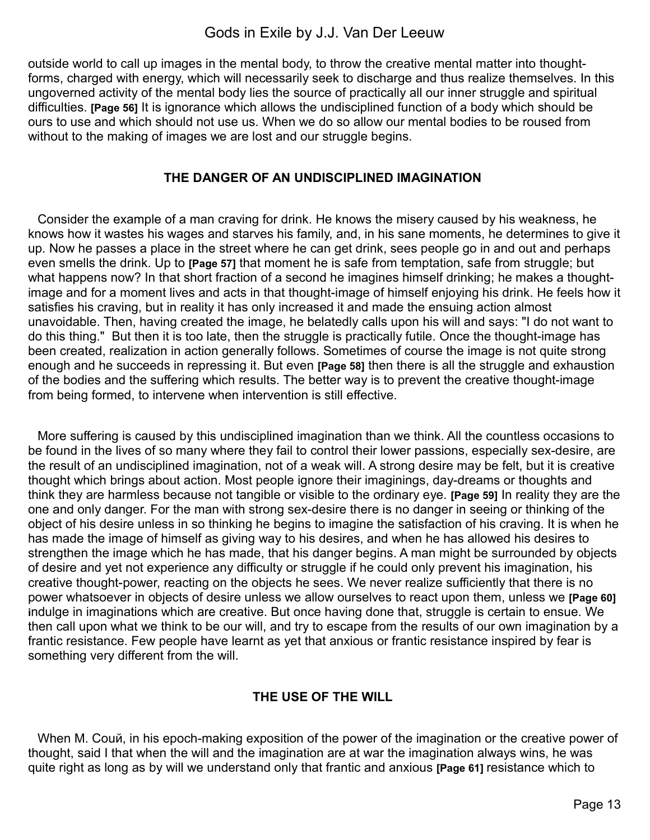outside world to call up images in the mental body, to throw the creative mental matter into thoughtforms, charged with energy, which will necessarily seek to discharge and thus realize themselves. In this ungoverned activity of the mental body lies the source of practically all our inner struggle and spiritual difficulties. **[Page 56]** It is ignorance which allows the undisciplined function of a body which should be ours to use and which should not use us. When we do so allow our mental bodies to be roused from without to the making of images we are lost and our struggle begins.

#### **THE DANGER OF AN UNDISCIPLINED IMAGINATION**

Consider the example of a man craving for drink. He knows the misery caused by his weakness, he knows how it wastes his wages and starves his family, and, in his sane moments, he determines to give it up. Now he passes a place in the street where he can get drink, sees people go in and out and perhaps even smells the drink. Up to **[Page 57]** that moment he is safe from temptation, safe from struggle; but what happens now? In that short fraction of a second he imagines himself drinking; he makes a thoughtimage and for a moment lives and acts in that thought-image of himself enjoying his drink. He feels how it satisfies his craving, but in reality it has only increased it and made the ensuing action almost unavoidable. Then, having created the image, he belatedly calls upon his will and says: "I do not want to do this thing." But then it is too late, then the struggle is practically futile. Once the thought-image has been created, realization in action generally follows. Sometimes of course the image is not quite strong enough and he succeeds in repressing it. But even **[Page 58]** then there is all the struggle and exhaustion of the bodies and the suffering which results. The better way is to prevent the creative thought-image from being formed, to intervene when intervention is still effective.

More suffering is caused by this undisciplined imagination than we think. All the countless occasions to be found in the lives of so many where they fail to control their lower passions, especially sex-desire, are the result of an undisciplined imagination, not of a weak will. A strong desire may be felt, but it is creative thought which brings about action. Most people ignore their imaginings, day-dreams or thoughts and think they are harmless because not tangible or visible to the ordinary eye. **[Page 59]** In reality they are the one and only danger. For the man with strong sex-desire there is no danger in seeing or thinking of the object of his desire unless in so thinking he begins to imagine the satisfaction of his craving. It is when he has made the image of himself as giving way to his desires, and when he has allowed his desires to strengthen the image which he has made, that his danger begins. A man might be surrounded by objects of desire and yet not experience any difficulty or struggle if he could only prevent his imagination, his creative thought-power, reacting on the objects he sees. We never realize sufficiently that there is no power whatsoever in objects of desire unless we allow ourselves to react upon them, unless we **[Page 60] i**ndulge in imaginations which are creative. But once having done that, struggle is certain to ensue. We then call upon what we think to be our will, and try to escape from the results of our own imagination by a frantic resistance. Few people have learnt as yet that anxious or frantic resistance inspired by fear is something very different from the will.

### **THE USE OF THE WILL**

When M. Couй, in his epoch-making exposition of the power of the imagination or the creative power of thought, said I that when the will and the imagination are at war the imagination always wins, he was quite right as long as by will we understand only that frantic and anxious **[Page 61]** resistance which to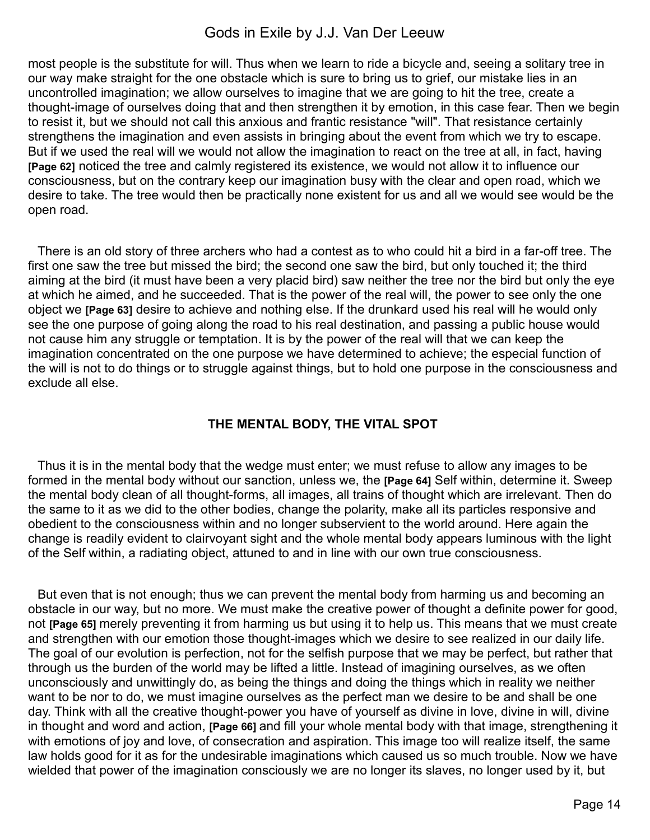most people is the substitute for will. Thus when we learn to ride a bicycle and, seeing a solitary tree in our way make straight for the one obstacle which is sure to bring us to grief, our mistake lies in an uncontrolled imagination; we allow ourselves to imagine that we are going to hit the tree, create a thought-image of ourselves doing that and then strengthen it by emotion, in this case fear. Then we begin to resist it, but we should not call this anxious and frantic resistance "will". That resistance certainly strengthens the imagination and even assists in bringing about the event from which we try to escape. But if we used the real will we would not allow the imagination to react on the tree at all, in fact, having **[Page 62]** noticed the tree and calmly registered its existence, we would not allow it to influence our consciousness, but on the contrary keep our imagination busy with the clear and open road, which we desire to take. The tree would then be practically none existent for us and all we would see would be the open road.

There is an old story of three archers who had a contest as to who could hit a bird in a far-off tree. The first one saw the tree but missed the bird; the second one saw the bird, but only touched it; the third aiming at the bird (it must have been a very placid bird) saw neither the tree nor the bird but only the eye at which he aimed, and he succeeded. That is the power of the real will, the power to see only the one object we **[Page 63]** desire to achieve and nothing else. If the drunkard used his real will he would only see the one purpose of going along the road to his real destination, and passing a public house would not cause him any struggle or temptation. It is by the power of the real will that we can keep the imagination concentrated on the one purpose we have determined to achieve; the especial function of the will is not to do things or to struggle against things, but to hold one purpose in the consciousness and exclude all else.

### **THE MENTAL BODY, THE VITAL SPOT**

Thus it is in the mental body that the wedge must enter; we must refuse to allow any images to be formed in the mental body without our sanction, unless we, the **[Page 64]** Self within, determine it. Sweep the mental body clean of all thought-forms, all images, all trains of thought which are irrelevant. Then do the same to it as we did to the other bodies, change the polarity, make all its particles responsive and obedient to the consciousness within and no longer subservient to the world around. Here again the change is readily evident to clairvoyant sight and the whole mental body appears luminous with the light of the Self within, a radiating object, attuned to and in line with our own true consciousness.

But even that is not enough; thus we can prevent the mental body from harming us and becoming an obstacle in our way, but no more. We must make the creative power of thought a definite power for good, not **[Page 65]** merely preventing it from harming us but using it to help us. This means that we must create and strengthen with our emotion those thought-images which we desire to see realized in our daily life. The goal of our evolution is perfection, not for the selfish purpose that we may be perfect, but rather that through us the burden of the world may be lifted a little. Instead of imagining ourselves, as we often unconsciously and unwittingly do, as being the things and doing the things which in reality we neither want to be nor to do, we must imagine ourselves as the perfect man we desire to be and shall be one day. Think with all the creative thought-power you have of yourself as divine in love, divine in will, divine in thought and word and action, **[Page 66]** and fill your whole mental body with that image, strengthening it with emotions of joy and love, of consecration and aspiration. This image too will realize itself, the same law holds good for it as for the undesirable imaginations which caused us so much trouble. Now we have wielded that power of the imagination consciously we are no longer its slaves, no longer used by it, but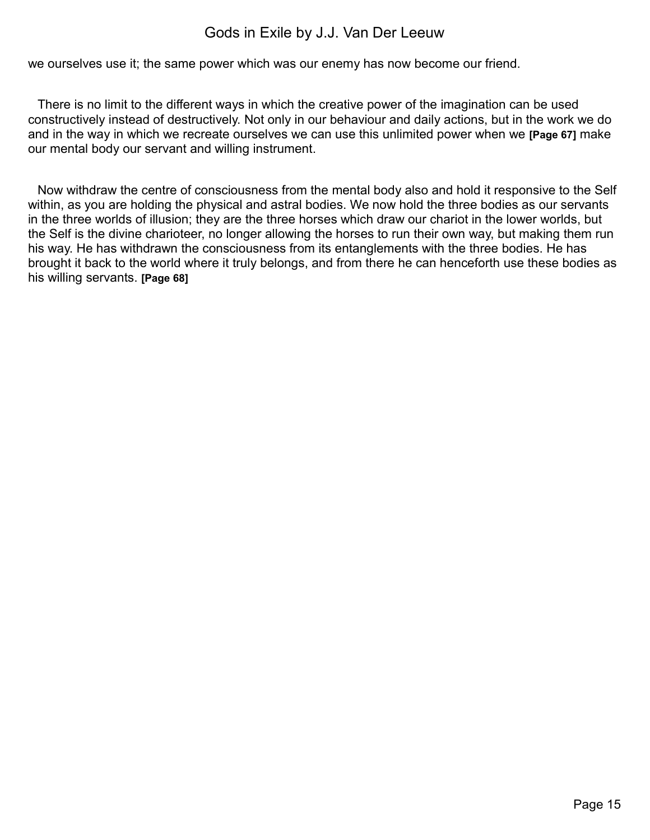we ourselves use it; the same power which was our enemy has now become our friend.

There is no limit to the different ways in which the creative power of the imagination can be used constructively instead of destructively. Not only in our behaviour and daily actions, but in the work we do and in the way in which we recreate ourselves we can use this unlimited power when we **[Page 67]** make our mental body our servant and willing instrument.

Now withdraw the centre of consciousness from the mental body also and hold it responsive to the Self within, as you are holding the physical and astral bodies. We now hold the three bodies as our servants in the three worlds of illusion; they are the three horses which draw our chariot in the lower worlds, but the Self is the divine charioteer, no longer allowing the horses to run their own way, but making them run his way. He has withdrawn the consciousness from its entanglements with the three bodies. He has brought it back to the world where it truly belongs, and from there he can henceforth use these bodies as his willing servants. **[Page 68]**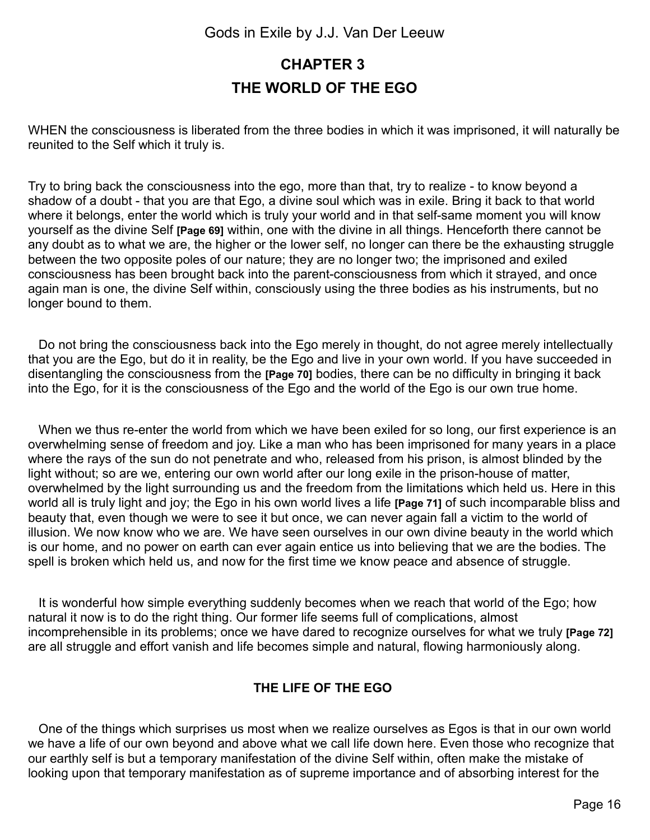## <span id="page-15-0"></span>**CHAPTER 3 THE WORLD OF THE EGO**

WHEN the consciousness is liberated from the three bodies in which it was imprisoned, it will naturally be reunited to the Self which it truly is.

Try to bring back the consciousness into the ego, more than that, try to realize - to know beyond a shadow of a doubt - that you are that Ego, a divine soul which was in exile. Bring it back to that world where it belongs, enter the world which is truly your world and in that self-same moment you will know yourself as the divine Self **[Page 69]** within, one with the divine in all things. Henceforth there cannot be any doubt as to what we are, the higher or the lower self, no longer can there be the exhausting struggle between the two opposite poles of our nature; they are no longer two; the imprisoned and exiled consciousness has been brought back into the parent-consciousness from which it strayed, and once again man is one, the divine Self within, consciously using the three bodies as his instruments, but no longer bound to them.

 Do not bring the consciousness back into the Ego merely in thought, do not agree merely intellectually that you are the Ego, but do it in reality, be the Ego and live in your own world. If you have succeeded in disentangling the consciousness from the **[Page 70]** bodies, there can be no difficulty in bringing it back into the Ego, for it is the consciousness of the Ego and the world of the Ego is our own true home.

When we thus re-enter the world from which we have been exiled for so long, our first experience is an overwhelming sense of freedom and joy. Like a man who has been imprisoned for many years in a place where the rays of the sun do not penetrate and who, released from his prison, is almost blinded by the light without; so are we, entering our own world after our long exile in the prison-house of matter, overwhelmed by the light surrounding us and the freedom from the limitations which held us. Here in this world all is truly light and joy; the Ego in his own world lives a life **[Page 71]** of such incomparable bliss and beauty that, even though we were to see it but once, we can never again fall a victim to the world of illusion. We now know who we are. We have seen ourselves in our own divine beauty in the world which is our home, and no power on earth can ever again entice us into believing that we are the bodies. The spell is broken which held us, and now for the first time we know peace and absence of struggle.

 It is wonderful how simple everything suddenly becomes when we reach that world of the Ego; how natural it now is to do the right thing. Our former life seems full of complications, almost incomprehensible in its problems; once we have dared to recognize ourselves for what we truly **[Page 72]** are all struggle and effort vanish and life becomes simple and natural, flowing harmoniously along.

### **THE LIFE OF THE EGO**

 One of the things which surprises us most when we realize ourselves as Egos is that in our own world we have a life of our own beyond and above what we call life down here. Even those who recognize that our earthly self is but a temporary manifestation of the divine Self within, often make the mistake of looking upon that temporary manifestation as of supreme importance and of absorbing interest for the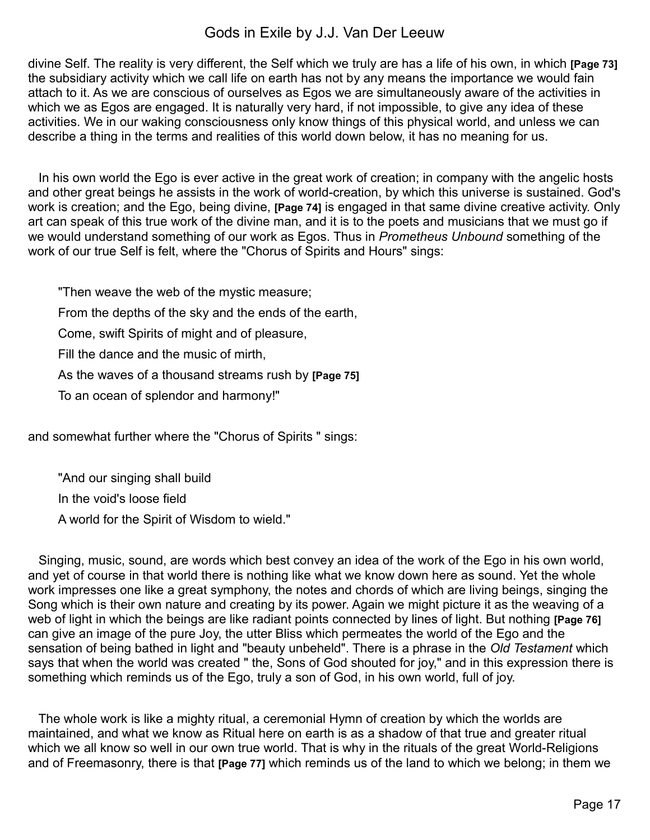divine Self. The reality is very different, the Self which we truly are has a life of his own, in which **[Page 73]** the subsidiary activity which we call life on earth has not by any means the importance we would fain attach to it. As we are conscious of ourselves as Egos we are simultaneously aware of the activities in which we as Egos are engaged. It is naturally very hard, if not impossible, to give any idea of these activities. We in our waking consciousness only know things of this physical world, and unless we can describe a thing in the terms and realities of this world down below, it has no meaning for us.

 In his own world the Ego is ever active in the great work of creation; in company with the angelic hosts and other great beings he assists in the work of world-creation, by which this universe is sustained. God's work is creation; and the Ego, being divine, **[Page 74]** is engaged in that same divine creative activity. Only art can speak of this true work of the divine man, and it is to the poets and musicians that we must go if we would understand something of our work as Egos. Thus in *Prometheus Unbound* something of the work of our true Self is felt, where the "Chorus of Spirits and Hours" sings:

"Then weave the web of the mystic measure;

From the depths of the sky and the ends of the earth,

Come, swift Spirits of might and of pleasure,

Fill the dance and the music of mirth,

As the waves of a thousand streams rush by **[Page 75]**

To an ocean of splendor and harmony!"

and somewhat further where the "Chorus of Spirits " sings:

"And our singing shall build In the void's loose field A world for the Spirit of Wisdom to wield."

 Singing, music, sound, are words which best convey an idea of the work of the Ego in his own world, and yet of course in that world there is nothing like what we know down here as sound. Yet the whole work impresses one like a great symphony, the notes and chords of which are living beings, singing the Song which is their own nature and creating by its power. Again we might picture it as the weaving of a web of light in which the beings are like radiant points connected by lines of light. But nothing **[Page 76]** can give an image of the pure Joy, the utter Bliss which permeates the world of the Ego and the sensation of being bathed in light and "beauty unbeheld". There is a phrase in the *Old Testament* which says that when the world was created " the, Sons of God shouted for joy," and in this expression there is something which reminds us of the Ego, truly a son of God, in his own world, full of joy.

 The whole work is like a mighty ritual, a ceremonial Hymn of creation by which the worlds are maintained, and what we know as Ritual here on earth is as a shadow of that true and greater ritual which we all know so well in our own true world. That is why in the rituals of the great World-Religions and of Freemasonry, there is that **[Page 77]** which reminds us of the land to which we belong; in them we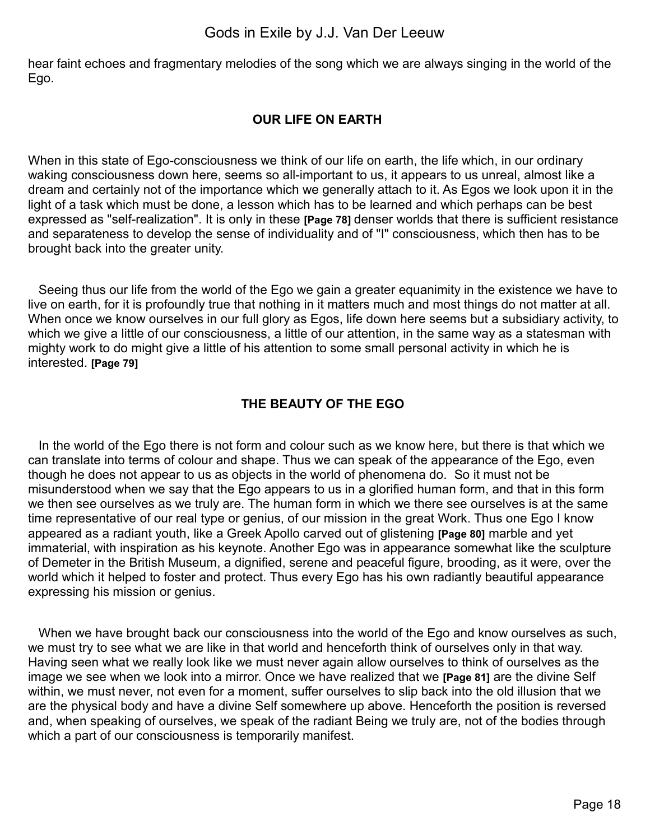hear faint echoes and fragmentary melodies of the song which we are always singing in the world of the Ego.

### **OUR LIFE ON EARTH**

When in this state of Ego-consciousness we think of our life on earth, the life which, in our ordinary waking consciousness down here, seems so all-important to us, it appears to us unreal, almost like a dream and certainly not of the importance which we generally attach to it. As Egos we look upon it in the light of a task which must be done, a lesson which has to be learned and which perhaps can be best expressed as "self-realization". It is only in these **[Page 78]** denser worlds that there is sufficient resistance and separateness to develop the sense of individuality and of "I" consciousness, which then has to be brought back into the greater unity.

 Seeing thus our life from the world of the Ego we gain a greater equanimity in the existence we have to live on earth, for it is profoundly true that nothing in it matters much and most things do not matter at all. When once we know ourselves in our full glory as Egos, life down here seems but a subsidiary activity, to which we give a little of our consciousness, a little of our attention, in the same way as a statesman with mighty work to do might give a little of his attention to some small personal activity in which he is interested. **[Page 79]**

### **THE BEAUTY OF THE EGO**

 In the world of the Ego there is not form and colour such as we know here, but there is that which we can translate into terms of colour and shape. Thus we can speak of the appearance of the Ego, even though he does not appear to us as objects in the world of phenomena do. So it must not be misunderstood when we say that the Ego appears to us in a glorified human form, and that in this form we then see ourselves as we truly are. The human form in which we there see ourselves is at the same time representative of our real type or genius, of our mission in the great Work. Thus one Ego I know appeared as a radiant youth, like a Greek Apollo carved out of glistening **[Page 80]** marble and yet immaterial, with inspiration as his keynote. Another Ego was in appearance somewhat like the sculpture of Demeter in the British Museum, a dignified, serene and peaceful figure, brooding, as it were, over the world which it helped to foster and protect. Thus every Ego has his own radiantly beautiful appearance expressing his mission or genius.

When we have brought back our consciousness into the world of the Ego and know ourselves as such, we must try to see what we are like in that world and henceforth think of ourselves only in that way. Having seen what we really look like we must never again allow ourselves to think of ourselves as the image we see when we look into a mirror. Once we have realized that we **[Page 81]** are the divine Self within, we must never, not even for a moment, suffer ourselves to slip back into the old illusion that we are the physical body and have a divine Self somewhere up above. Henceforth the position is reversed and, when speaking of ourselves, we speak of the radiant Being we truly are, not of the bodies through which a part of our consciousness is temporarily manifest.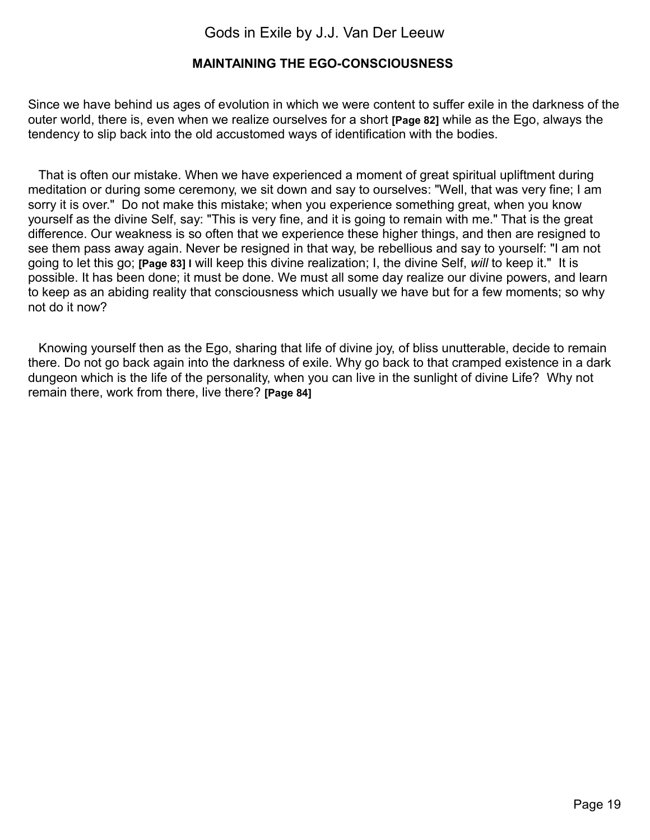### **MAINTAINING THE EGO-CONSCIOUSNESS**

Since we have behind us ages of evolution in which we were content to suffer exile in the darkness of the outer world, there is, even when we realize ourselves for a short **[Page 82]** while as the Ego, always the tendency to slip back into the old accustomed ways of identification with the bodies.

 That is often our mistake. When we have experienced a moment of great spiritual upliftment during meditation or during some ceremony, we sit down and say to ourselves: "Well, that was very fine; I am sorry it is over." Do not make this mistake; when you experience something great, when you know yourself as the divine Self, say: "This is very fine, and it is going to remain with me." That is the great difference. Our weakness is so often that we experience these higher things, and then are resigned to see them pass away again. Never be resigned in that way, be rebellious and say to yourself: "I am not going to let this go; **[Page 83] I** will keep this divine realization; I, the divine Self, *will* to keep it." It is possible. It has been done; it must be done. We must all some day realize our divine powers, and learn to keep as an abiding reality that consciousness which usually we have but for a few moments; so why not do it now?

 Knowing yourself then as the Ego, sharing that life of divine joy, of bliss unutterable, decide to remain there. Do not go back again into the darkness of exile. Why go back to that cramped existence in a dark dungeon which is the life of the personality, when you can live in the sunlight of divine Life? Why not remain there, work from there, live there? **[Page 84]**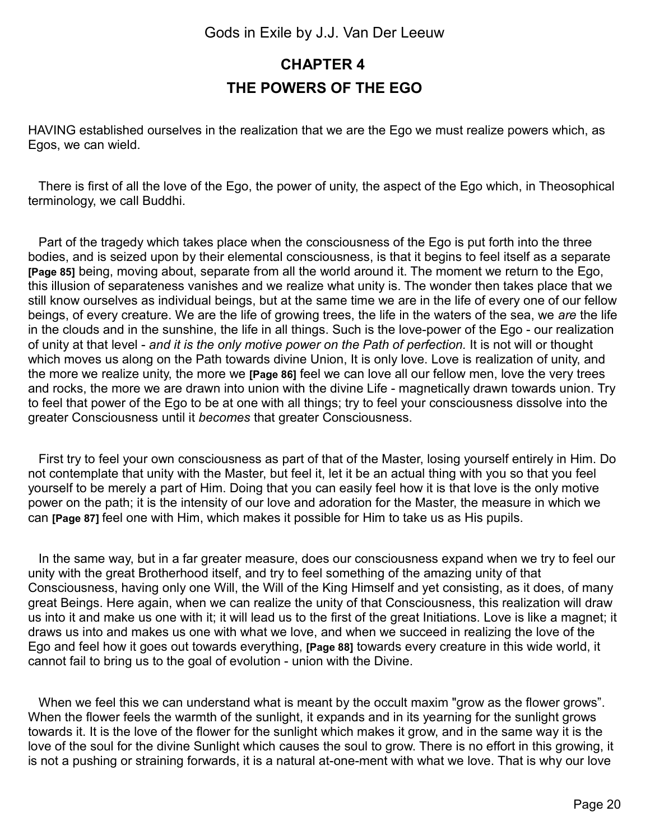## <span id="page-19-0"></span>**CHAPTER 4 THE POWERS OF THE EGO**

HAVING established ourselves in the realization that we are the Ego we must realize powers which, as Egos, we can wield.

 There is first of all the love of the Ego, the power of unity, the aspect of the Ego which, in Theosophical terminology, we call Buddhi.

 Part of the tragedy which takes place when the consciousness of the Ego is put forth into the three bodies, and is seized upon by their elemental consciousness, is that it begins to feel itself as a separate **[Page 85]** being, moving about, separate from all the world around it. The moment we return to the Ego, this illusion of separateness vanishes and we realize what unity is. The wonder then takes place that we still know ourselves as individual beings, but at the same time we are in the life of every one of our fellow beings, of every creature. We are the life of growing trees, the life in the waters of the sea, we *are* the life in the clouds and in the sunshine, the life in all things. Such is the love-power of the Ego - our realization of unity at that level - *and it is the only motive power on the Path of perfection.* It is not will or thought which moves us along on the Path towards divine Union, It is only love. Love is realization of unity, and the more we realize unity, the more we **[Page 86]** feel we can love all our fellow men, love the very trees and rocks, the more we are drawn into union with the divine Life - magnetically drawn towards union. Try to feel that power of the Ego to be at one with all things; try to feel your consciousness dissolve into the greater Consciousness until it *becomes* that greater Consciousness.

 First try to feel your own consciousness as part of that of the Master, losing yourself entirely in Him. Do not contemplate that unity with the Master, but feel it, let it be an actual thing with you so that you feel yourself to be merely a part of Him. Doing that you can easily feel how it is that love is the only motive power on the path; it is the intensity of our love and adoration for the Master, the measure in which we can **[Page 87]** feel one with Him, which makes it possible for Him to take us as His pupils.

 In the same way, but in a far greater measure, does our consciousness expand when we try to feel our unity with the great Brotherhood itself, and try to feel something of the amazing unity of that Consciousness, having only one Will, the Will of the King Himself and yet consisting, as it does, of many great Beings. Here again, when we can realize the unity of that Consciousness, this realization will draw us into it and make us one with it; it will lead us to the first of the great Initiations. Love is like a magnet; it draws us into and makes us one with what we love, and when we succeed in realizing the love of the Ego and feel how it goes out towards everything, **[Page 88]** towards every creature in this wide world, it cannot fail to bring us to the goal of evolution - union with the Divine.

When we feel this we can understand what is meant by the occult maxim "grow as the flower grows". When the flower feels the warmth of the sunlight, it expands and in its yearning for the sunlight grows towards it. It is the love of the flower for the sunlight which makes it grow, and in the same way it is the love of the soul for the divine Sunlight which causes the soul to grow. There is no effort in this growing, it is not a pushing or straining forwards, it is a natural at-one-ment with what we love. That is why our love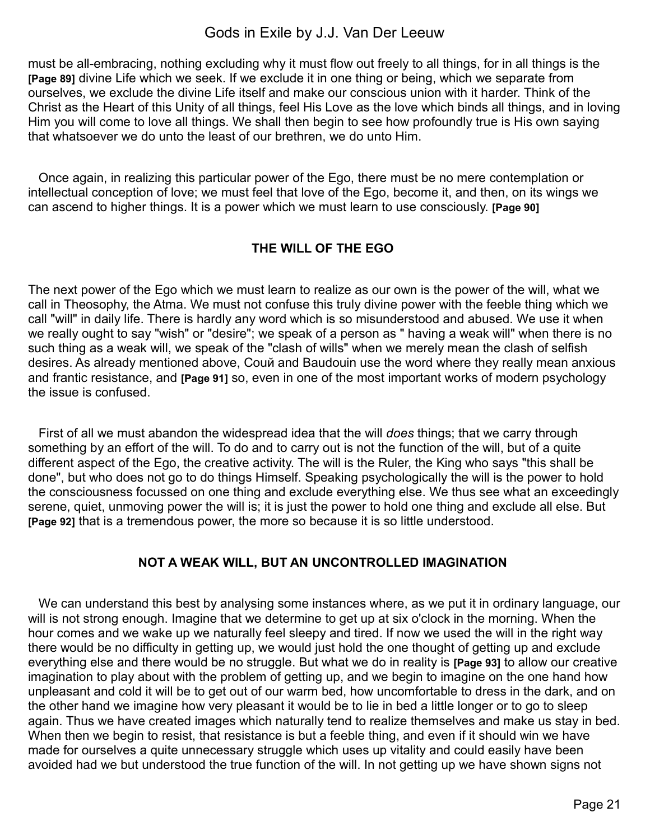must be all-embracing, nothing excluding why it must flow out freely to all things, for in all things is the **[Page 89]** divine Life which we seek. If we exclude it in one thing or being, which we separate from ourselves, we exclude the divine Life itself and make our conscious union with it harder. Think of the Christ as the Heart of this Unity of all things, feel His Love as the love which binds all things, and in loving Him you will come to love all things. We shall then begin to see how profoundly true is His own saying that whatsoever we do unto the least of our brethren, we do unto Him.

 Once again, in realizing this particular power of the Ego, there must be no mere contemplation or intellectual conception of love; we must feel that love of the Ego, become it, and then, on its wings we can ascend to higher things. It is a power which we must learn to use consciously. **[Page 90]**

### **THE WILL OF THE EGO**

The next power of the Ego which we must learn to realize as our own is the power of the will, what we call in Theosophy, the Atma. We must not confuse this truly divine power with the feeble thing which we call "will" in daily life. There is hardly any word which is so misunderstood and abused. We use it when we really ought to say "wish" or "desire"; we speak of a person as " having a weak will" when there is no such thing as a weak will, we speak of the "clash of wills" when we merely mean the clash of selfish desires. As already mentioned above, Couй and Baudouin use the word where they really mean anxious and frantic resistance, and **[Page 91]** so, even in one of the most important works of modern psychology the issue is confused.

 First of all we must abandon the widespread idea that the will *does* things; that we carry through something by an effort of the will. To do and to carry out is not the function of the will, but of a quite different aspect of the Ego, the creative activity. The will is the Ruler, the King who says "this shall be done", but who does not go to do things Himself. Speaking psychologically the will is the power to hold the consciousness focussed on one thing and exclude everything else. We thus see what an exceedingly serene, quiet, unmoving power the will is; it is just the power to hold one thing and exclude all else. But **[Page 92]** that is a tremendous power, the more so because it is so little understood.

### **NOT A WEAK WILL, BUT AN UNCONTROLLED IMAGINATION**

We can understand this best by analysing some instances where, as we put it in ordinary language, our will is not strong enough. Imagine that we determine to get up at six o'clock in the morning. When the hour comes and we wake up we naturally feel sleepy and tired. If now we used the will in the right way there would be no difficulty in getting up, we would just hold the one thought of getting up and exclude everything else and there would be no struggle. But what we do in reality is **[Page 93]** to allow our creative imagination to play about with the problem of getting up, and we begin to imagine on the one hand how unpleasant and cold it will be to get out of our warm bed, how uncomfortable to dress in the dark, and on the other hand we imagine how very pleasant it would be to lie in bed a little longer or to go to sleep again. Thus we have created images which naturally tend to realize themselves and make us stay in bed. When then we begin to resist, that resistance is but a feeble thing, and even if it should win we have made for ourselves a quite unnecessary struggle which uses up vitality and could easily have been avoided had we but understood the true function of the will. In not getting up we have shown signs not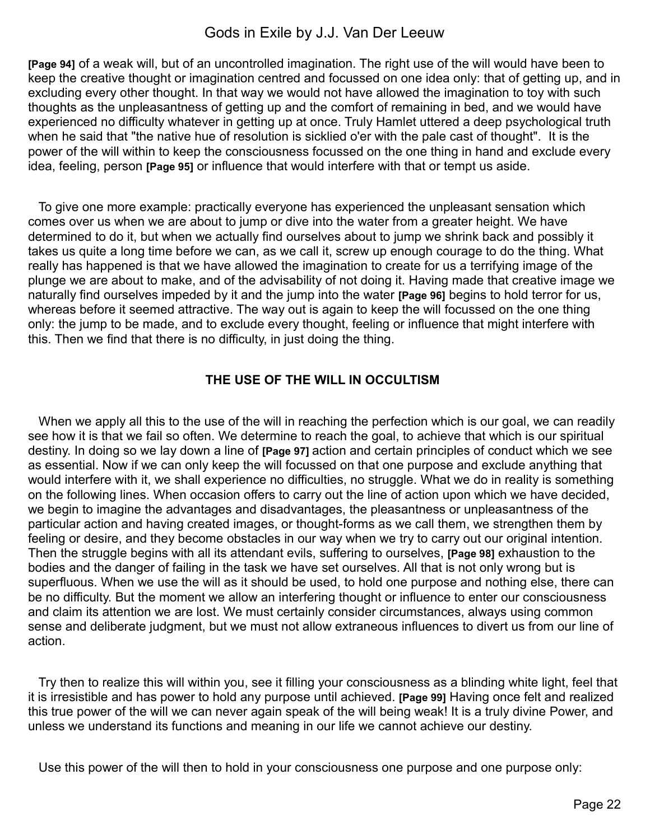**[Page 94]** of a weak will, but of an uncontrolled imagination. The right use of the will would have been to keep the creative thought or imagination centred and focussed on one idea only: that of getting up, and in excluding every other thought. In that way we would not have allowed the imagination to toy with such thoughts as the unpleasantness of getting up and the comfort of remaining in bed, and we would have experienced no difficulty whatever in getting up at once. Truly Hamlet uttered a deep psychological truth when he said that "the native hue of resolution is sicklied o'er with the pale cast of thought". It is the power of the will within to keep the consciousness focussed on the one thing in hand and exclude every idea, feeling, person **[Page 95]** or influence that would interfere with that or tempt us aside.

 To give one more example: practically everyone has experienced the unpleasant sensation which comes over us when we are about to jump or dive into the water from a greater height. We have determined to do it, but when we actually find ourselves about to jump we shrink back and possibly it takes us quite a long time before we can, as we call it, screw up enough courage to do the thing. What really has happened is that we have allowed the imagination to create for us a terrifying image of the plunge we are about to make, and of the advisability of not doing it. Having made that creative image we naturally find ourselves impeded by it and the jump into the water **[Page 96]** begins to hold terror for us, whereas before it seemed attractive. The way out is again to keep the will focussed on the one thing only: the jump to be made, and to exclude every thought, feeling or influence that might interfere with this. Then we find that there is no difficulty, in just doing the thing.

#### **THE USE OF THE WILL IN OCCULTISM**

When we apply all this to the use of the will in reaching the perfection which is our goal, we can readily see how it is that we fail so often. We determine to reach the goal, to achieve that which is our spiritual destiny. In doing so we lay down a line of **[Page 97]** action and certain principles of conduct which we see as essential. Now if we can only keep the will focussed on that one purpose and exclude anything that would interfere with it, we shall experience no difficulties, no struggle. What we do in reality is something on the following lines. When occasion offers to carry out the line of action upon which we have decided, we begin to imagine the advantages and disadvantages, the pleasantness or unpleasantness of the particular action and having created images, or thought-forms as we call them, we strengthen them by feeling or desire, and they become obstacles in our way when we try to carry out our original intention. Then the struggle begins with all its attendant evils, suffering to ourselves, **[Page 98]** exhaustion to the bodies and the danger of failing in the task we have set ourselves. All that is not only wrong but is superfluous. When we use the will as it should be used, to hold one purpose and nothing else, there can be no difficulty. But the moment we allow an interfering thought or influence to enter our consciousness and claim its attention we are lost. We must certainly consider circumstances, always using common sense and deliberate judgment, but we must not allow extraneous influences to divert us from our line of action.

 Try then to realize this will within you, see it filling your consciousness as a blinding white light, feel that it is irresistible and has power to hold any purpose until achieved. **[Page 99]** Having once felt and realized this true power of the will we can never again speak of the will being weak! It is a truly divine Power, and unless we understand its functions and meaning in our life we cannot achieve our destiny.

Use this power of the will then to hold in your consciousness one purpose and one purpose only: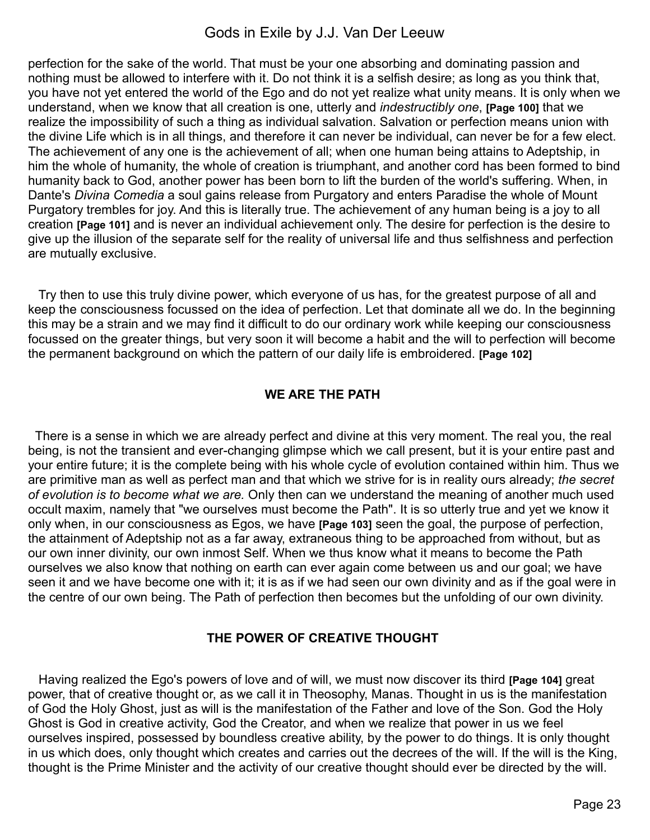perfection for the sake of the world. That must be your one absorbing and dominating passion and nothing must be allowed to interfere with it. Do not think it is a selfish desire; as long as you think that, you have not yet entered the world of the Ego and do not yet realize what unity means. It is only when we understand, when we know that all creation is one, utterly and *indestructibly one*, **[Page 100]** that we realize the impossibility of such a thing as individual salvation. Salvation or perfection means union with the divine Life which is in all things, and therefore it can never be individual, can never be for a few elect. The achievement of any one is the achievement of all; when one human being attains to Adeptship, in him the whole of humanity, the whole of creation is triumphant, and another cord has been formed to bind humanity back to God, another power has been born to lift the burden of the world's suffering. When, in Dante's *Divina Comedia* a soul gains release from Purgatory and enters Paradise the whole of Mount Purgatory trembles for joy. And this is literally true. The achievement of any human being is a joy to all creation **[Page 101]** and is never an individual achievement only. The desire for perfection is the desire to give up the illusion of the separate self for the reality of universal life and thus selfishness and perfection are mutually exclusive.

 Try then to use this truly divine power, which everyone of us has, for the greatest purpose of all and keep the consciousness focussed on the idea of perfection. Let that dominate all we do. In the beginning this may be a strain and we may find it difficult to do our ordinary work while keeping our consciousness focussed on the greater things, but very soon it will become a habit and the will to perfection will become the permanent background on which the pattern of our daily life is embroidered. **[Page 102]**

### **WE ARE THE PATH**

There is a sense in which we are already perfect and divine at this very moment. The real you, the real being, is not the transient and ever-changing glimpse which we call present, but it is your entire past and your entire future; it is the complete being with his whole cycle of evolution contained within him. Thus we are primitive man as well as perfect man and that which we strive for is in reality ours already; *the secret of evolution is to become what we are.* Only then can we understand the meaning of another much used occult maxim, namely that "we ourselves must become the Path". It is so utterly true and yet we know it only when, in our consciousness as Egos, we have **[Page 103]** seen the goal, the purpose of perfection, the attainment of Adeptship not as a far away, extraneous thing to be approached from without, but as our own inner divinity, our own inmost Self. When we thus know what it means to become the Path ourselves we also know that nothing on earth can ever again come between us and our goal; we have seen it and we have become one with it; it is as if we had seen our own divinity and as if the goal were in the centre of our own being. The Path of perfection then becomes but the unfolding of our own divinity.

### **THE POWER OF CREATIVE THOUGHT**

 Having realized the Ego's powers of love and of will, we must now discover its third **[Page 104]** great power, that of creative thought or, as we call it in Theosophy, Manas. Thought in us is the manifestation of God the Holy Ghost, just as will is the manifestation of the Father and love of the Son. God the Holy Ghost is God in creative activity, God the Creator, and when we realize that power in us we feel ourselves inspired, possessed by boundless creative ability, by the power to do things. It is only thought in us which does, only thought which creates and carries out the decrees of the will. If the will is the King, thought is the Prime Minister and the activity of our creative thought should ever be directed by the will.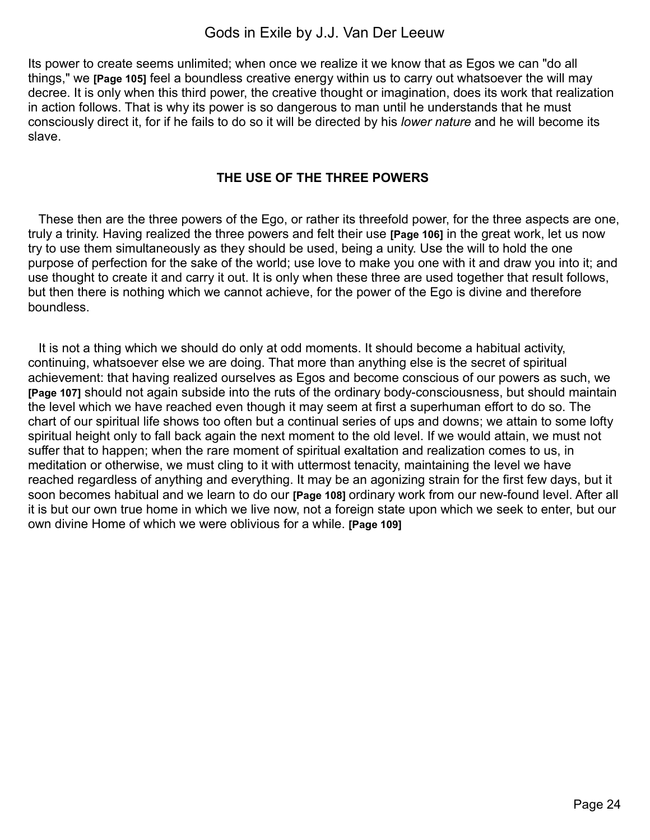Its power to create seems unlimited; when once we realize it we know that as Egos we can "do all things," we **[Page 105]** feel a boundless creative energy within us to carry out whatsoever the will may decree. It is only when this third power, the creative thought or imagination, does its work that realization in action follows. That is why its power is so dangerous to man until he understands that he must consciously direct it, for if he fails to do so it will be directed by his *lower nature* and he will become its slave.

### **THE USE OF THE THREE POWERS**

 These then are the three powers of the Ego, or rather its threefold power, for the three aspects are one, truly a trinity. Having realized the three powers and felt their use **[Page 106]** in the great work, let us now try to use them simultaneously as they should be used, being a unity. Use the will to hold the one purpose of perfection for the sake of the world; use love to make you one with it and draw you into it; and use thought to create it and carry it out. It is only when these three are used together that result follows, but then there is nothing which we cannot achieve, for the power of the Ego is divine and therefore boundless.

 It is not a thing which we should do only at odd moments. It should become a habitual activity, continuing, whatsoever else we are doing. That more than anything else is the secret of spiritual achievement: that having realized ourselves as Egos and become conscious of our powers as such, we **[Page 107]** should not again subside into the ruts of the ordinary body-consciousness, but should maintain the level which we have reached even though it may seem at first a superhuman effort to do so. The chart of our spiritual life shows too often but a continual series of ups and downs; we attain to some lofty spiritual height only to fall back again the next moment to the old level. If we would attain, we must not suffer that to happen; when the rare moment of spiritual exaltation and realization comes to us, in meditation or otherwise, we must cling to it with uttermost tenacity, maintaining the level we have reached regardless of anything and everything. It may be an agonizing strain for the first few days, but it soon becomes habitual and we learn to do our **[Page 108]** ordinary work from our new-found level. After all it is but our own true home in which we live now, not a foreign state upon which we seek to enter, but our own divine Home of which we were oblivious for a while. **[Page 109]**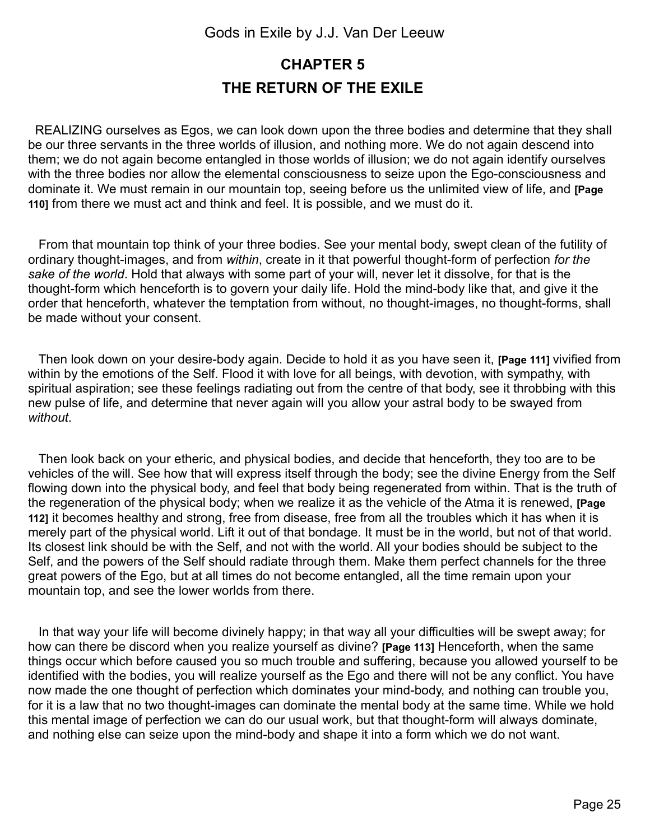## <span id="page-24-0"></span>**CHAPTER 5 THE RETURN OF THE EXILE**

REALIZING ourselves as Egos, we can look down upon the three bodies and determine that they shall be our three servants in the three worlds of illusion, and nothing more. We do not again descend into them; we do not again become entangled in those worlds of illusion; we do not again identify ourselves with the three bodies nor allow the elemental consciousness to seize upon the Ego-consciousness and dominate it. We must remain in our mountain top, seeing before us the unlimited view of life, and **[Page 110]** from there we must act and think and feel. It is possible, and we must do it.

 From that mountain top think of your three bodies. See your mental body, swept clean of the futility of ordinary thought-images, and from *within*, create in it that powerful thought-form of perfection *for the sake of the world*. Hold that always with some part of your will, never let it dissolve, for that is the thought-form which henceforth is to govern your daily life. Hold the mind-body like that, and give it the order that henceforth, whatever the temptation from without, no thought-images, no thought-forms, shall be made without your consent.

 Then look down on your desire-body again. Decide to hold it as you have seen it, **[Page 111]** vivified from within by the emotions of the Self. Flood it with love for all beings, with devotion, with sympathy, with spiritual aspiration; see these feelings radiating out from the centre of that body, see it throbbing with this new pulse of life, and determine that never again will you allow your astral body to be swayed from *without*.

 Then look back on your etheric, and physical bodies, and decide that henceforth, they too are to be vehicles of the will. See how that will express itself through the body; see the divine Energy from the Self flowing down into the physical body, and feel that body being regenerated from within. That is the truth of the regeneration of the physical body; when we realize it as the vehicle of the Atma it is renewed, **[Page 112]** it becomes healthy and strong, free from disease, free from all the troubles which it has when it is merely part of the physical world. Lift it out of that bondage. It must be in the world, but not of that world. Its closest link should be with the Self, and not with the world. All your bodies should be subject to the Self, and the powers of the Self should radiate through them. Make them perfect channels for the three great powers of the Ego, but at all times do not become entangled, all the time remain upon your mountain top, and see the lower worlds from there.

 In that way your life will become divinely happy; in that way all your difficulties will be swept away; for how can there be discord when you realize yourself as divine? **[Page 113]** Henceforth, when the same things occur which before caused you so much trouble and suffering, because you allowed yourself to be identified with the bodies, you will realize yourself as the Ego and there will not be any conflict. You have now made the one thought of perfection which dominates your mind-body, and nothing can trouble you, for it is a law that no two thought-images can dominate the mental body at the same time. While we hold this mental image of perfection we can do our usual work, but that thought-form will always dominate, and nothing else can seize upon the mind-body and shape it into a form which we do not want.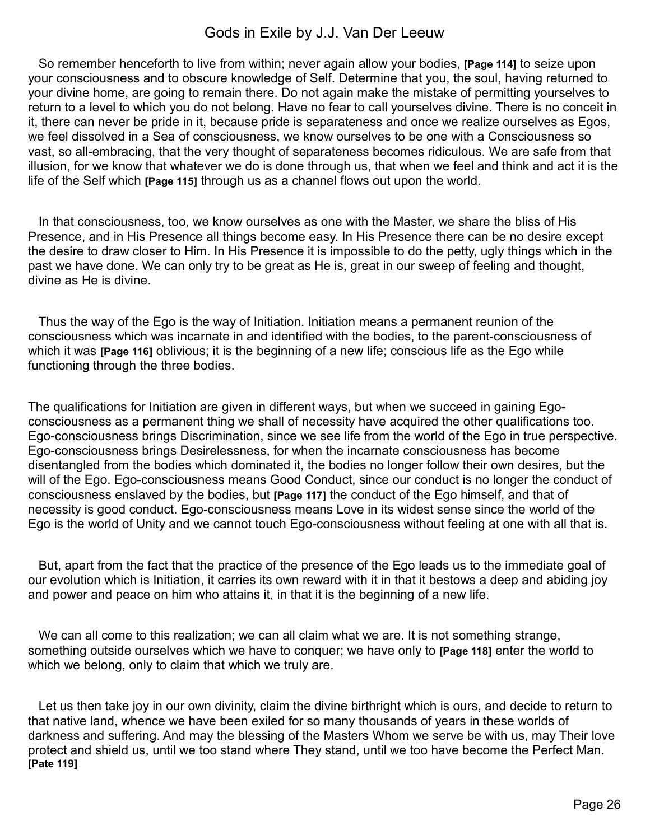So remember henceforth to live from within; never again allow your bodies, **[Page 114]** to seize upon your consciousness and to obscure knowledge of Self. Determine that you, the soul, having returned to your divine home, are going to remain there. Do not again make the mistake of permitting yourselves to return to a level to which you do not belong. Have no fear to call yourselves divine. There is no conceit in it, there can never be pride in it, because pride is separateness and once we realize ourselves as Egos, we feel dissolved in a Sea of consciousness, we know ourselves to be one with a Consciousness so vast, so all-embracing, that the very thought of separateness becomes ridiculous. We are safe from that illusion, for we know that whatever we do is done through us, that when we feel and think and act it is the life of the Self which **[Page 115]** through us as a channel flows out upon the world.

 In that consciousness, too, we know ourselves as one with the Master, we share the bliss of His Presence, and in His Presence all things become easy. In His Presence there can be no desire except the desire to draw closer to Him. In His Presence it is impossible to do the petty, ugly things which in the past we have done. We can only try to be great as He is, great in our sweep of feeling and thought, divine as He is divine.

 Thus the way of the Ego is the way of Initiation. Initiation means a permanent reunion of the consciousness which was incarnate in and identified with the bodies, to the parent-consciousness of which it was **[Page 116]** oblivious; it is the beginning of a new life; conscious life as the Ego while functioning through the three bodies.

The qualifications for Initiation are given in different ways, but when we succeed in gaining Egoconsciousness as a permanent thing we shall of necessity have acquired the other qualifications too. Ego-consciousness brings Discrimination, since we see life from the world of the Ego in true perspective. Ego-consciousness brings Desirelessness, for when the incarnate consciousness has become disentangled from the bodies which dominated it, the bodies no longer follow their own desires, but the will of the Ego. Ego-consciousness means Good Conduct, since our conduct is no longer the conduct of consciousness enslaved by the bodies, but **[Page 117]** the conduct of the Ego himself, and that of necessity is good conduct. Ego-consciousness means Love in its widest sense since the world of the Ego is the world of Unity and we cannot touch Ego-consciousness without feeling at one with all that is.

 But, apart from the fact that the practice of the presence of the Ego leads us to the immediate goal of our evolution which is Initiation, it carries its own reward with it in that it bestows a deep and abiding joy and power and peace on him who attains it, in that it is the beginning of a new life.

We can all come to this realization; we can all claim what we are. It is not something strange, something outside ourselves which we have to conquer; we have only to **[Page 118]** enter the world to which we belong, only to claim that which we truly are.

 Let us then take joy in our own divinity, claim the divine birthright which is ours, and decide to return to that native land, whence we have been exiled for so many thousands of years in these worlds of darkness and suffering. And may the blessing of the Masters Whom we serve be with us, may Their love protect and shield us, until we too stand where They stand, until we too have become the Perfect Man. **[Pate 119]**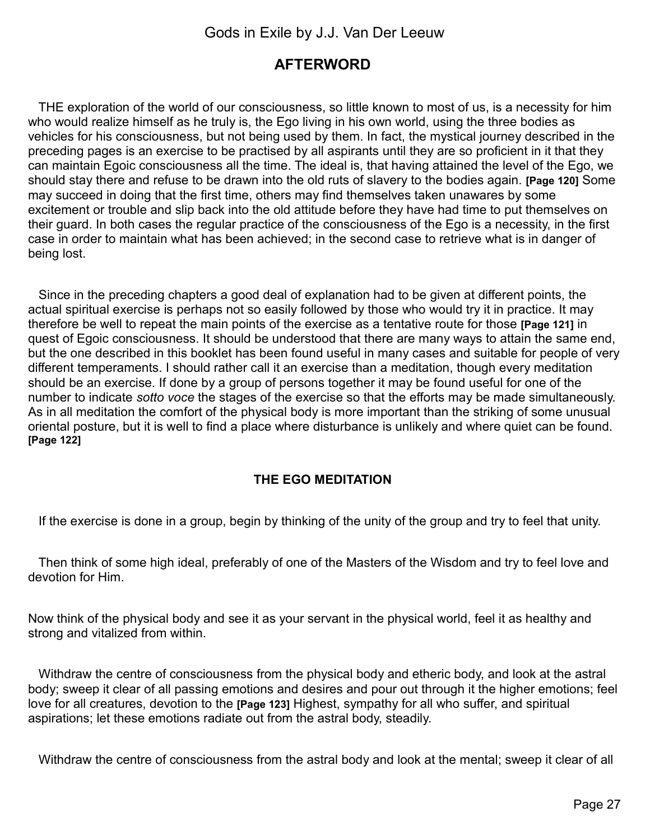## <span id="page-26-0"></span>**AFTERWORD**

 THE exploration of the world of our consciousness, so little known to most of us, is a necessity for him who would realize himself as he truly is, the Ego living in his own world, using the three bodies as vehicles for his consciousness, but not being used by them. In fact, the mystical journey described in the preceding pages is an exercise to be practised by all aspirants until they are so proficient in it that they can maintain Egoic consciousness all the time. The ideal is, that having attained the level of the Ego, we should stay there and refuse to be drawn into the old ruts of slavery to the bodies again. **[Page 120]** Some may succeed in doing that the first time, others may find themselves taken unawares by some excitement or trouble and slip back into the old attitude before they have had time to put themselves on their guard. In both cases the regular practice of the consciousness of the Ego is a necessity, in the first case in order to maintain what has been achieved; in the second case to retrieve what is in danger of being lost.

 Since in the preceding chapters a good deal of explanation had to be given at different points, the actual spiritual exercise is perhaps not so easily followed by those who would try it in practice. It may therefore be well to repeat the main points of the exercise as a tentative route for those **[Page 121]** in quest of Egoic consciousness. It should be understood that there are many ways to attain the same end, but the one described in this booklet has been found useful in many cases and suitable for people of very different temperaments. I should rather call it an exercise than a meditation, though every meditation should be an exercise. If done by a group of persons together it may be found useful for one of the number to indicate *sotto voce* the stages of the exercise so that the efforts may be made simultaneously. As in all meditation the comfort of the physical body is more important than the striking of some unusual oriental posture, but it is well to find a place where disturbance is unlikely and where quiet can be found. **[Page 122]**

### **THE EGO MEDITATION**

If the exercise is done in a group, begin by thinking of the unity of the group and try to feel that unity.

 Then think of some high ideal, preferably of one of the Masters of the Wisdom and try to feel love and devotion for Him.

Now think of the physical body and see it as your servant in the physical world, feel it as healthy and strong and vitalized from within.

 Withdraw the centre of consciousness from the physical body and etheric body, and look at the astral body; sweep it clear of all passing emotions and desires and pour out through it the higher emotions; feel love for all creatures, devotion to the **[Page 123]** Highest, sympathy for all who suffer, and spiritual aspirations; let these emotions radiate out from the astral body, steadily.

Withdraw the centre of consciousness from the astral body and look at the mental; sweep it clear of all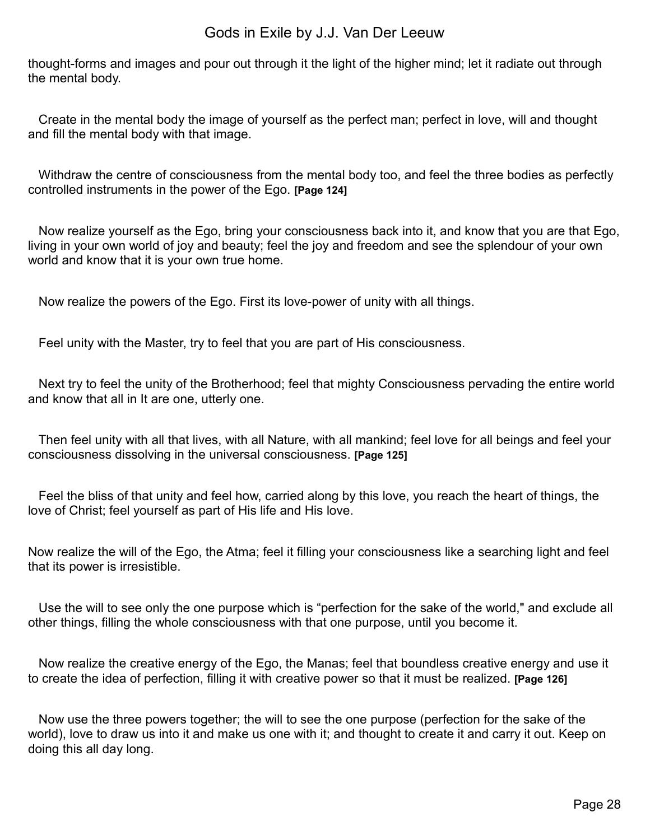thought-forms and images and pour out through it the light of the higher mind; let it radiate out through the mental body.

Create in the mental body the image of yourself as the perfect man; perfect in love, will and thought and fill the mental body with that image.

 Withdraw the centre of consciousness from the mental body too, and feel the three bodies as perfectly controlled instruments in the power of the Ego. **[Page 124]**

 Now realize yourself as the Ego, bring your consciousness back into it, and know that you are that Ego, living in your own world of joy and beauty; feel the joy and freedom and see the splendour of your own world and know that it is your own true home.

Now realize the powers of the Ego. First its love-power of unity with all things.

Feel unity with the Master, try to feel that you are part of His consciousness.

 Next try to feel the unity of the Brotherhood; feel that mighty Consciousness pervading the entire world and know that all in It are one, utterly one.

 Then feel unity with all that lives, with all Nature, with all mankind; feel love for all beings and feel your consciousness dissolving in the universal consciousness. **[Page 125]**

 Feel the bliss of that unity and feel how, carried along by this love, you reach the heart of things, the love of Christ; feel yourself as part of His life and His love.

Now realize the will of the Ego, the Atma; feel it filling your consciousness like a searching light and feel that its power is irresistible.

 Use the will to see only the one purpose which is "perfection for the sake of the world," and exclude all other things, filling the whole consciousness with that one purpose, until you become it.

 Now realize the creative energy of the Ego, the Manas; feel that boundless creative energy and use it to create the idea of perfection, filling it with creative power so that it must be realized. **[Page 126]**

 Now use the three powers together; the will to see the one purpose (perfection for the sake of the world), love to draw us into it and make us one with it; and thought to create it and carry it out. Keep on doing this all day long.